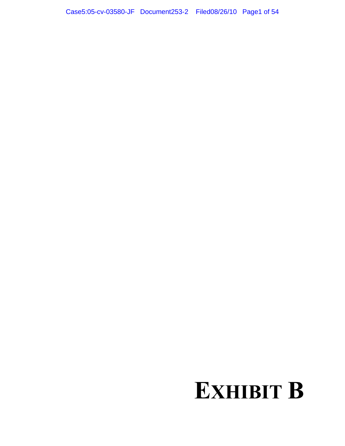# **EXHIBIT B**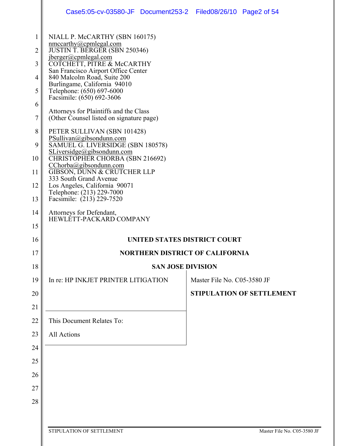|              | Case5:05-cv-03580-JF Document253-2 Filed08/26/10 Page2 of 54                              |                                        |
|--------------|-------------------------------------------------------------------------------------------|----------------------------------------|
| $\mathbf{1}$ | NIALL P. McCARTHY (SBN 160175)<br>nmccarthy@cpmlegal.com                                  |                                        |
| 2            | JUSTIN T. BERGER (SBN 250346)                                                             |                                        |
| 3            | jberger@cpmlegal.com<br>COTCHETT, PITRE & McCARTHY<br>San Francisco Airport Office Center |                                        |
| 4            | 840 Malcolm Road, Suite 200<br>Burlingame, California 94010                               |                                        |
| 5            | Telephone: (650) 697-6000<br>Facsimile: (650) 692-3606                                    |                                        |
| 6<br>7       | Attorneys for Plaintiffs and the Class<br>(Other Counsel listed on signature page)        |                                        |
| 8            | PETER SULLIVAN (SBN 101428)                                                               |                                        |
| 9            | PSullivan@gibsondunn.com<br>SAMUEL G. LIVERSIDGE (SBN 180578)                             |                                        |
| 10           | SLiversidge@gibsondunn.com<br>CHRISTOPHER CHORBA (SBN 216692)                             |                                        |
| 11           | CChorba@gibsondunn.com<br>GIBSON, DUNN & CRUTCHER LLP                                     |                                        |
| 12           | 333 South Grand Avenue<br>Los Angeles, California 90071                                   |                                        |
| 13           | Telephone: (213) 229-7000<br>Facsimile: (213) 229-7520                                    |                                        |
| 14           | Attorneys for Defendant,<br>HEWLETT-PACKARD COMPANY                                       |                                        |
| 15           |                                                                                           |                                        |
| 16           |                                                                                           | UNITED STATES DISTRICT COURT           |
| 17           |                                                                                           | <b>NORTHERN DISTRICT OF CALIFORNIA</b> |
| 18           |                                                                                           | <b>SAN JOSE DIVISION</b>               |
| 19           | In re: HP INKJET PRINTER LITIGATION                                                       | Master File No. C05-3580 JF            |
| 20           |                                                                                           | <b>STIPULATION OF SETTLEMENT</b>       |
| 21           |                                                                                           |                                        |
| 22           | This Document Relates To:                                                                 |                                        |
| 23           | All Actions                                                                               |                                        |
| 24           |                                                                                           |                                        |
| 25           |                                                                                           |                                        |
| 26           |                                                                                           |                                        |
| 27           |                                                                                           |                                        |
| 28           |                                                                                           |                                        |
|              |                                                                                           |                                        |
|              | STIPULATION OF SETTLEMENT                                                                 | Master File No. C05-3580 JF            |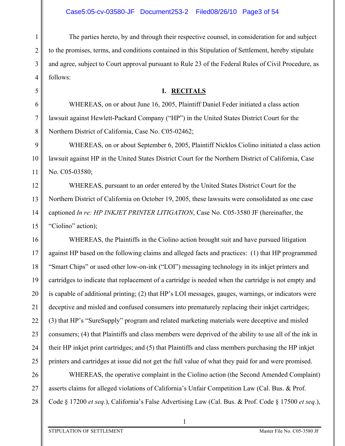3 The parties hereto, by and through their respective counsel, in consideration for and subject to the promises, terms, and conditions contained in this Stipulation of Settlement, hereby stipulate and agree, subject to Court approval pursuant to Rule 23 of the Federal Rules of Civil Procedure, as follows:

#### **I. RECITALS**

WHEREAS, on or about June 16, 2005, Plaintiff Daniel Feder initiated a class action lawsuit against Hewlett-Packard Company ("HP") in the United States District Court for the Northern District of California, Case No. C05-02462;

9 10 11 WHEREAS, on or about September 6, 2005, Plaintiff Nicklos Ciolino initiated a class action lawsuit against HP in the United States District Court for the Northern District of California, Case No. C05-03580;

12 13 14 15 WHEREAS, pursuant to an order entered by the United States District Court for the Northern District of California on October 19, 2005, these lawsuits were consolidated as one case captioned *In re: HP INKJET PRINTER LITIGATION*, Case No. C05-3580 JF (hereinafter, the "Ciolino" action);

16 17 18 19 20 21 22 23 24 25 WHEREAS, the Plaintiffs in the Ciolino action brought suit and have pursued litigation against HP based on the following claims and alleged facts and practices: (1) that HP programmed "Smart Chips" or used other low-on-ink ("LOI") messaging technology in its inkjet printers and cartridges to indicate that replacement of a cartridge is needed when the cartridge is not empty and is capable of additional printing; (2) that HP's LOI messages, gauges, warnings, or indicators were deceptive and misled and confused consumers into prematurely replacing their inkjet cartridges; (3) that HP's "SureSupply" program and related marketing materials were deceptive and misled consumers; (4) that Plaintiffs and class members were deprived of the ability to use all of the ink in their HP inkjet print cartridges; and (5) that Plaintiffs and class members purchasing the HP inkjet printers and cartridges at issue did not get the full value of what they paid for and were promised.

26 27 28 WHEREAS, the operative complaint in the Ciolino action (the Second Amended Complaint) asserts claims for alleged violations of California's Unfair Competition Law (Cal. Bus. & Prof. Code § 17200 *et seq.*), California's False Advertising Law (Cal. Bus. & Prof. Code § 17500 *et seq.*),

1

1

2

4

5

6

7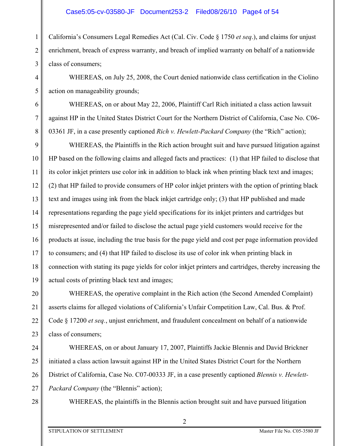## Case5:05-cv-03580-JF Document253-2 Filed08/26/10 Page4 of 54

3 California's Consumers Legal Remedies Act (Cal. Civ. Code § 1750 *et seq*.), and claims for unjust enrichment, breach of express warranty, and breach of implied warranty on behalf of a nationwide class of consumers;

WHEREAS, on July 25, 2008, the Court denied nationwide class certification in the Ciolino action on manageability grounds;

WHEREAS, on or about May 22, 2006, Plaintiff Carl Rich initiated a class action lawsuit against HP in the United States District Court for the Northern District of California, Case No. C06- 03361 JF, in a case presently captioned *Rich v. Hewlett-Packard Company* (the "Rich" action);

9 10 11 12 13 14 15 16 17 18 19 WHEREAS, the Plaintiffs in the Rich action brought suit and have pursued litigation against HP based on the following claims and alleged facts and practices: (1) that HP failed to disclose that its color inkjet printers use color ink in addition to black ink when printing black text and images; (2) that HP failed to provide consumers of HP color inkjet printers with the option of printing black text and images using ink from the black inkjet cartridge only; (3) that HP published and made representations regarding the page yield specifications for its inkjet printers and cartridges but misrepresented and/or failed to disclose the actual page yield customers would receive for the products at issue, including the true basis for the page yield and cost per page information provided to consumers; and (4) that HP failed to disclose its use of color ink when printing black in connection with stating its page yields for color inkjet printers and cartridges, thereby increasing the actual costs of printing black text and images;

20 21 22 23 WHEREAS, the operative complaint in the Rich action (the Second Amended Complaint) asserts claims for alleged violations of California's Unfair Competition Law, Cal. Bus. & Prof. Code § 17200 *et seq.*, unjust enrichment, and fraudulent concealment on behalf of a nationwide class of consumers;

24 25 26 27 WHEREAS, on or about January 17, 2007, Plaintiffs Jackie Blennis and David Brickner initiated a class action lawsuit against HP in the United States District Court for the Northern District of California, Case No. C07-00333 JF, in a case presently captioned *Blennis v. Hewlett-Packard Company* (the "Blennis" action);

28

1

2

4

5

6

7

8

WHEREAS, the plaintiffs in the Blennis action brought suit and have pursued litigation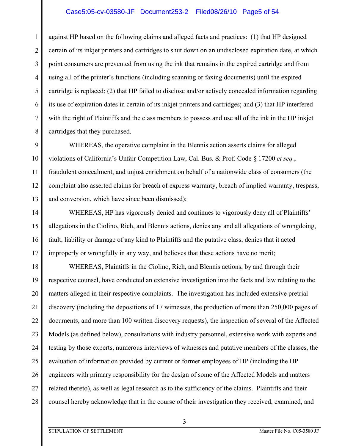## Case5:05-cv-03580-JF Document253-2 Filed08/26/10 Page5 of 54

1 2 3 4 5 6 7 8 against HP based on the following claims and alleged facts and practices: (1) that HP designed certain of its inkjet printers and cartridges to shut down on an undisclosed expiration date, at which point consumers are prevented from using the ink that remains in the expired cartridge and from using all of the printer's functions (including scanning or faxing documents) until the expired cartridge is replaced; (2) that HP failed to disclose and/or actively concealed information regarding its use of expiration dates in certain of its inkjet printers and cartridges; and (3) that HP interfered with the right of Plaintiffs and the class members to possess and use all of the ink in the HP inkjet cartridges that they purchased.

9 10 11 12 13 WHEREAS, the operative complaint in the Blennis action asserts claims for alleged violations of California's Unfair Competition Law, Cal. Bus. & Prof. Code § 17200 *et seq.*, fraudulent concealment, and unjust enrichment on behalf of a nationwide class of consumers (the complaint also asserted claims for breach of express warranty, breach of implied warranty, trespass, and conversion, which have since been dismissed);

14 15 16 17 WHEREAS, HP has vigorously denied and continues to vigorously deny all of Plaintiffs' allegations in the Ciolino, Rich, and Blennis actions, denies any and all allegations of wrongdoing, fault, liability or damage of any kind to Plaintiffs and the putative class, denies that it acted improperly or wrongfully in any way, and believes that these actions have no merit;

18 19 20 21 22 23 24 25 26 27 28 WHEREAS, Plaintiffs in the Ciolino, Rich, and Blennis actions, by and through their respective counsel, have conducted an extensive investigation into the facts and law relating to the matters alleged in their respective complaints. The investigation has included extensive pretrial discovery (including the depositions of 17 witnesses, the production of more than 250,000 pages of documents, and more than 100 written discovery requests), the inspection of several of the Affected Models (as defined below), consultations with industry personnel, extensive work with experts and testing by those experts, numerous interviews of witnesses and putative members of the classes, the evaluation of information provided by current or former employees of HP (including the HP engineers with primary responsibility for the design of some of the Affected Models and matters related thereto), as well as legal research as to the sufficiency of the claims. Plaintiffs and their counsel hereby acknowledge that in the course of their investigation they received, examined, and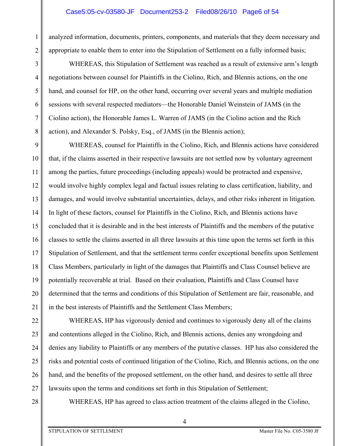analyzed information, documents, printers, components, and materials that they deem necessary and appropriate to enable them to enter into the Stipulation of Settlement on a fully informed basis;

WHEREAS, this Stipulation of Settlement was reached as a result of extensive arm's length negotiations between counsel for Plaintiffs in the Ciolino, Rich, and Blennis actions, on the one hand, and counsel for HP, on the other hand, occurring over several years and multiple mediation sessions with several respected mediators—the Honorable Daniel Weinstein of JAMS (in the Ciolino action), the Honorable James L. Warren of JAMS (in the Ciolino action and the Rich action), and Alexander S. Polsky, Esq., of JAMS (in the Blennis action);

9 10 11 12 13 14 15 16 17 18 19 20 21 WHEREAS, counsel for Plaintiffs in the Ciolino, Rich, and Blennis actions have considered that, if the claims asserted in their respective lawsuits are not settled now by voluntary agreement among the parties, future proceedings (including appeals) would be protracted and expensive, would involve highly complex legal and factual issues relating to class certification, liability, and damages, and would involve substantial uncertainties, delays, and other risks inherent in litigation. In light of these factors, counsel for Plaintiffs in the Ciolino, Rich, and Blennis actions have concluded that it is desirable and in the best interests of Plaintiffs and the members of the putative classes to settle the claims asserted in all three lawsuits at this time upon the terms set forth in this Stipulation of Settlement, and that the settlement terms confer exceptional benefits upon Settlement Class Members, particularly in light of the damages that Plaintiffs and Class Counsel believe are potentially recoverable at trial. Based on their evaluation, Plaintiffs and Class Counsel have determined that the terms and conditions of this Stipulation of Settlement are fair, reasonable, and in the best interests of Plaintiffs and the Settlement Class Members;

22 23 24 25 26 27 WHEREAS, HP has vigorously denied and continues to vigorously deny all of the claims and contentions alleged in the Ciolino, Rich, and Blennis actions, denies any wrongdoing and denies any liability to Plaintiffs or any members of the putative classes. HP has also considered the risks and potential costs of continued litigation of the Ciolino, Rich, and Blennis actions, on the one hand, and the benefits of the proposed settlement, on the other hand, and desires to settle all three lawsuits upon the terms and conditions set forth in this Stipulation of Settlement;

28

1

2

3

4

5

6

7

8

WHEREAS, HP has agreed to class action treatment of the claims alleged in the Ciolino,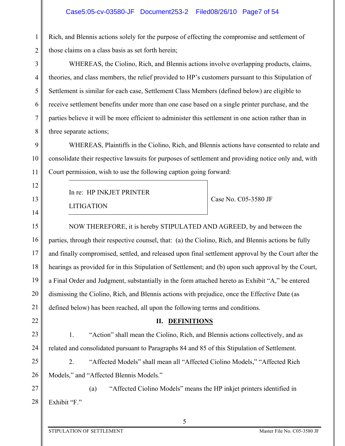Rich, and Blennis actions solely for the purpose of effecting the compromise and settlement of those claims on a class basis as set forth herein;

WHEREAS, the Ciolino, Rich, and Blennis actions involve overlapping products, claims, theories, and class members, the relief provided to HP's customers pursuant to this Stipulation of Settlement is similar for each case, Settlement Class Members (defined below) are eligible to receive settlement benefits under more than one case based on a single printer purchase, and the parties believe it will be more efficient to administer this settlement in one action rather than in three separate actions;

9 10 11 WHEREAS, Plaintiffs in the Ciolino, Rich, and Blennis actions have consented to relate and consolidate their respective lawsuits for purposes of settlement and providing notice only and, with Court permission, wish to use the following caption going forward:

In re: HP INKJET PRINTER

LITIGATION

1

2

3

4

5

6

7

8

12

13

14

22

Case No. C05-3580 JF

15 16 17 18 19 20 21 NOW THEREFORE, it is hereby STIPULATED AND AGREED, by and between the parties, through their respective counsel, that: (a) the Ciolino, Rich, and Blennis actions be fully and finally compromised, settled, and released upon final settlement approval by the Court after the hearings as provided for in this Stipulation of Settlement; and (b) upon such approval by the Court, a Final Order and Judgment, substantially in the form attached hereto as Exhibit "A," be entered dismissing the Ciolino, Rich, and Blennis actions with prejudice, once the Effective Date (as defined below) has been reached, all upon the following terms and conditions.

## **II. DEFINITIONS**

23 24 1. "Action" shall mean the Ciolino, Rich, and Blennis actions collectively, and as related and consolidated pursuant to Paragraphs 84 and 85 of this Stipulation of Settlement.

25 26 2. "Affected Models" shall mean all "Affected Ciolino Models," "Affected Rich Models," and "Affected Blennis Models."

27 28 (a) "Affected Ciolino Models" means the HP inkjet printers identified in Exhibit "F."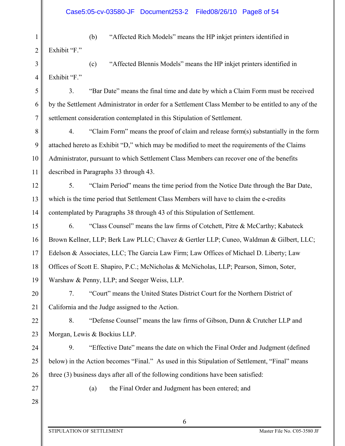1 2 (b) "Affected Rich Models" means the HP inkjet printers identified in Exhibit "F."

3 4 (c) "Affected Blennis Models" means the HP inkjet printers identified in Exhibit "F."

5 7 3. "Bar Date" means the final time and date by which a Claim Form must be received by the Settlement Administrator in order for a Settlement Class Member to be entitled to any of the settlement consideration contemplated in this Stipulation of Settlement.

8 9 10 11 4. "Claim Form" means the proof of claim and release form(s) substantially in the form attached hereto as Exhibit "D," which may be modified to meet the requirements of the Claims Administrator, pursuant to which Settlement Class Members can recover one of the benefits described in Paragraphs 33 through 43.

12 13 14 5. "Claim Period" means the time period from the Notice Date through the Bar Date, which is the time period that Settlement Class Members will have to claim the e-credits contemplated by Paragraphs 38 through 43 of this Stipulation of Settlement.

15 16 17 18 19 6. "Class Counsel" means the law firms of Cotchett, Pitre & McCarthy; Kabateck Brown Kellner, LLP; Berk Law PLLC; Chavez & Gertler LLP; Cuneo, Waldman & Gilbert, LLC; Edelson & Associates, LLC; The Garcia Law Firm; Law Offices of Michael D. Liberty; Law Offices of Scott E. Shapiro, P.C.; McNicholas & McNicholas, LLP; Pearson, Simon, Soter, Warshaw & Penny, LLP; and Seeger Weiss, LLP.

20 21 7. "Court" means the United States District Court for the Northern District of California and the Judge assigned to the Action.

22 23 8. "Defense Counsel" means the law firms of Gibson, Dunn & Crutcher LLP and Morgan, Lewis & Bockius LLP.

24 25 26 9. "Effective Date" means the date on which the Final Order and Judgment (defined below) in the Action becomes "Final." As used in this Stipulation of Settlement, "Final" means three (3) business days after all of the following conditions have been satisfied:

27 28

6

(a) the Final Order and Judgment has been entered; and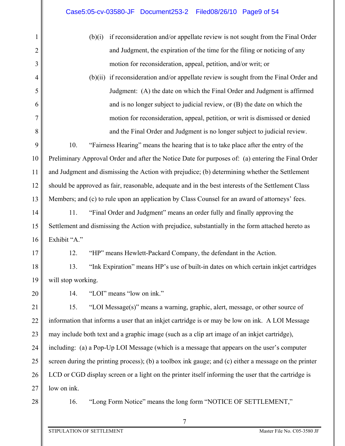| (b)(1) | if reconsideration and/or appellate review is not sought from the Final Order           |
|--------|-----------------------------------------------------------------------------------------|
|        | and Judgment, the expiration of the time for the filing or noticing of any              |
|        | motion for reconsideration, appeal, petition, and/or writ; or                           |
|        | $(b)(ii)$ if reconsideration and/or appellate review is sought from the Final Order and |
|        | Judgment: (A) the date on which the Final Order and Judgment is affirmed                |
|        | and is no longer subject to judicial review, or $(B)$ the date on which the             |

motion for reconsideration, appeal, petition, or writ is dismissed or denied and the Final Order and Judgment is no longer subject to judicial review.

9 10 11 12 13 10. "Fairness Hearing" means the hearing that is to take place after the entry of the Preliminary Approval Order and after the Notice Date for purposes of: (a) entering the Final Order and Judgment and dismissing the Action with prejudice; (b) determining whether the Settlement should be approved as fair, reasonable, adequate and in the best interests of the Settlement Class Members; and (c) to rule upon an application by Class Counsel for an award of attorneys' fees.

14 15 16 11. "Final Order and Judgment" means an order fully and finally approving the Settlement and dismissing the Action with prejudice, substantially in the form attached hereto as Exhibit "A."

17

1

2

3

4

5

6

7

8

12. "HP" means Hewlett-Packard Company, the defendant in the Action.

18 19 13. "Ink Expiration" means HP's use of built-in dates on which certain inkjet cartridges will stop working.

20

14. "LOI" means "low on ink."

21 22 23 24 25 26 27 15. "LOI Message(s)" means a warning, graphic, alert, message, or other source of information that informs a user that an inkjet cartridge is or may be low on ink. A LOI Message may include both text and a graphic image (such as a clip art image of an inkjet cartridge), including: (a) a Pop-Up LOI Message (which is a message that appears on the user's computer screen during the printing process); (b) a toolbox ink gauge; and (c) either a message on the printer LCD or CGD display screen or a light on the printer itself informing the user that the cartridge is low on ink.

28

16. "Long Form Notice" means the long form "NOTICE OF SETTLEMENT,"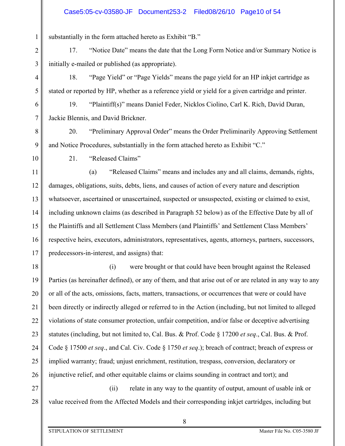## Case5:05-cv-03580-JF Document253-2 Filed08/26/10 Page10 of 54

substantially in the form attached hereto as Exhibit "B."

17. "Notice Date" means the date that the Long Form Notice and/or Summary Notice is initially e-mailed or published (as appropriate).

18. "Page Yield" or "Page Yields" means the page yield for an HP inkjet cartridge as stated or reported by HP, whether as a reference yield or yield for a given cartridge and printer.

19. "Plaintiff(s)" means Daniel Feder, Nicklos Ciolino, Carl K. Rich, David Duran, Jackie Blennis, and David Brickner.

20. "Preliminary Approval Order" means the Order Preliminarily Approving Settlement and Notice Procedures, substantially in the form attached hereto as Exhibit "C."

9 10

1

2

3

4

5

6

7

8

21. "Released Claims"

11 12 13 14 15 16 17 (a) "Released Claims" means and includes any and all claims, demands, rights, damages, obligations, suits, debts, liens, and causes of action of every nature and description whatsoever, ascertained or unascertained, suspected or unsuspected, existing or claimed to exist, including unknown claims (as described in Paragraph 52 below) as of the Effective Date by all of the Plaintiffs and all Settlement Class Members (and Plaintiffs' and Settlement Class Members' respective heirs, executors, administrators, representatives, agents, attorneys, partners, successors, predecessors-in-interest, and assigns) that:

18 19 20 21 22 23 24 25 26 (i) were brought or that could have been brought against the Released Parties (as hereinafter defined), or any of them, and that arise out of or are related in any way to any or all of the acts, omissions, facts, matters, transactions, or occurrences that were or could have been directly or indirectly alleged or referred to in the Action (including, but not limited to alleged violations of state consumer protection, unfair competition, and/or false or deceptive advertising statutes (including, but not limited to, Cal. Bus. & Prof. Code § 17200 *et seq*., Cal. Bus. & Prof. Code § 17500 *et seq*., and Cal. Civ. Code § 1750 *et seq*.); breach of contract; breach of express or implied warranty; fraud; unjust enrichment, restitution, trespass, conversion, declaratory or injunctive relief, and other equitable claims or claims sounding in contract and tort); and

27 28 (ii) relate in any way to the quantity of output, amount of usable ink or value received from the Affected Models and their corresponding inkjet cartridges, including but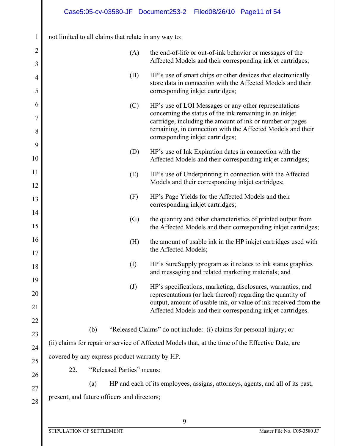| $\mathbf{1}$        | not limited to all claims that relate in any way to: |                                                                                                                                                                                                                                              |
|---------------------|------------------------------------------------------|----------------------------------------------------------------------------------------------------------------------------------------------------------------------------------------------------------------------------------------------|
| $\overline{c}$<br>3 | (A)                                                  | the end-of-life or out-of-ink behavior or messages of the<br>Affected Models and their corresponding inkjet cartridges;                                                                                                                      |
| 4<br>5              | (B)                                                  | HP's use of smart chips or other devices that electronically<br>store data in connection with the Affected Models and their<br>corresponding inkjet cartridges;                                                                              |
| 6<br>7<br>$8\,$     | (C)                                                  | HP's use of LOI Messages or any other representations<br>concerning the status of the ink remaining in an inkjet<br>cartridge, including the amount of ink or number or pages<br>remaining, in connection with the Affected Models and their |
| 9<br>10             | (D)                                                  | corresponding inkjet cartridges;<br>HP's use of Ink Expiration dates in connection with the<br>Affected Models and their corresponding inkjet cartridges;                                                                                    |
| 11<br>12            | (E)                                                  | HP's use of Underprinting in connection with the Affected<br>Models and their corresponding inkjet cartridges;                                                                                                                               |
| 13<br>14            | (F)                                                  | HP's Page Yields for the Affected Models and their<br>corresponding inkjet cartridges;                                                                                                                                                       |
| 15                  | $\left( G\right)$                                    | the quantity and other characteristics of printed output from<br>the Affected Models and their corresponding inkjet cartridges;                                                                                                              |
| 16<br>17            | (H)                                                  | the amount of usable ink in the HP inkjet cartridges used with<br>the Affected Models;                                                                                                                                                       |
| 18<br>19            | $\rm (I)$                                            | HP's SureSupply program as it relates to ink status graphics<br>and messaging and related marketing materials; and                                                                                                                           |
| 20<br>21            | $\left( \mathrm{J}\right)$                           | HP's specifications, marketing, disclosures, warranties, and<br>representations (or lack thereof) regarding the quantity of<br>output, amount of usable ink, or value of ink received from the                                               |
| 22                  | (b)                                                  | Affected Models and their corresponding inkjet cartridges.<br>"Released Claims" do not include: (i) claims for personal injury; or                                                                                                           |
| 23                  |                                                      | (ii) claims for repair or service of Affected Models that, at the time of the Effective Date, are                                                                                                                                            |
| 24                  | covered by any express product warranty by HP.       |                                                                                                                                                                                                                                              |
| 25                  | "Released Parties" means:<br>22.                     |                                                                                                                                                                                                                                              |
| 26                  | (a)                                                  | HP and each of its employees, assigns, attorneys, agents, and all of its past,                                                                                                                                                               |
| 27<br>28            | present, and future officers and directors;          |                                                                                                                                                                                                                                              |
|                     |                                                      | 9                                                                                                                                                                                                                                            |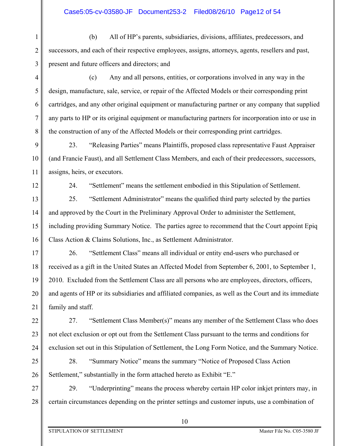3 (b) All of HP's parents, subsidiaries, divisions, affiliates, predecessors, and successors, and each of their respective employees, assigns, attorneys, agents, resellers and past, present and future officers and directors; and

(c) Any and all persons, entities, or corporations involved in any way in the design, manufacture, sale, service, or repair of the Affected Models or their corresponding print cartridges, and any other original equipment or manufacturing partner or any company that supplied any parts to HP or its original equipment or manufacturing partners for incorporation into or use in the construction of any of the Affected Models or their corresponding print cartridges.

9 10 11 23. "Releasing Parties" means Plaintiffs, proposed class representative Faust Appraiser (and Francie Faust), and all Settlement Class Members, and each of their predecessors, successors, assigns, heirs, or executors.

12

1

2

4

5

6

7

8

24. "Settlement" means the settlement embodied in this Stipulation of Settlement.

13 14 15 16 25. "Settlement Administrator" means the qualified third party selected by the parties and approved by the Court in the Preliminary Approval Order to administer the Settlement, including providing Summary Notice. The parties agree to recommend that the Court appoint Epiq Class Action & Claims Solutions, Inc., as Settlement Administrator.

17 18 19 20 21 26. "Settlement Class" means all individual or entity end-users who purchased or received as a gift in the United States an Affected Model from September 6, 2001, to September 1, 2010. Excluded from the Settlement Class are all persons who are employees, directors, officers, and agents of HP or its subsidiaries and affiliated companies, as well as the Court and its immediate family and staff.

22 23 24 27. "Settlement Class Member(s)" means any member of the Settlement Class who does not elect exclusion or opt out from the Settlement Class pursuant to the terms and conditions for exclusion set out in this Stipulation of Settlement, the Long Form Notice, and the Summary Notice.

25 26 28. "Summary Notice" means the summary "Notice of Proposed Class Action Settlement," substantially in the form attached hereto as Exhibit "E."

27 28 29. "Underprinting" means the process whereby certain HP color inkjet printers may, in certain circumstances depending on the printer settings and customer inputs, use a combination of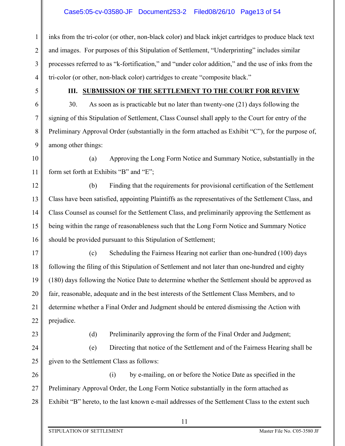1 2 3 4 inks from the tri-color (or other, non-black color) and black inkjet cartridges to produce black text and images. For purposes of this Stipulation of Settlement, "Underprinting" includes similar processes referred to as "k-fortification," and "under color addition," and the use of inks from the tri-color (or other, non-black color) cartridges to create "composite black."

5

6

7

8

9

## **III. SUBMISSION OF THE SETTLEMENT TO THE COURT FOR REVIEW**

30. As soon as is practicable but no later than twenty-one (21) days following the signing of this Stipulation of Settlement, Class Counsel shall apply to the Court for entry of the Preliminary Approval Order (substantially in the form attached as Exhibit "C"), for the purpose of, among other things:

10 11 (a) Approving the Long Form Notice and Summary Notice, substantially in the form set forth at Exhibits "B" and "E";

12 13 14 15 16 (b) Finding that the requirements for provisional certification of the Settlement Class have been satisfied, appointing Plaintiffs as the representatives of the Settlement Class, and Class Counsel as counsel for the Settlement Class, and preliminarily approving the Settlement as being within the range of reasonableness such that the Long Form Notice and Summary Notice should be provided pursuant to this Stipulation of Settlement;

17 18 19 20 21 22 (c) Scheduling the Fairness Hearing not earlier than one-hundred (100) days following the filing of this Stipulation of Settlement and not later than one-hundred and eighty (180) days following the Notice Date to determine whether the Settlement should be approved as fair, reasonable, adequate and in the best interests of the Settlement Class Members, and to determine whether a Final Order and Judgment should be entered dismissing the Action with prejudice.

23

(d) Preliminarily approving the form of the Final Order and Judgment;

24 25 (e) Directing that notice of the Settlement and of the Fairness Hearing shall be given to the Settlement Class as follows:

26 27 28 (i) by e-mailing, on or before the Notice Date as specified in the Preliminary Approval Order, the Long Form Notice substantially in the form attached as Exhibit "B" hereto, to the last known e-mail addresses of the Settlement Class to the extent such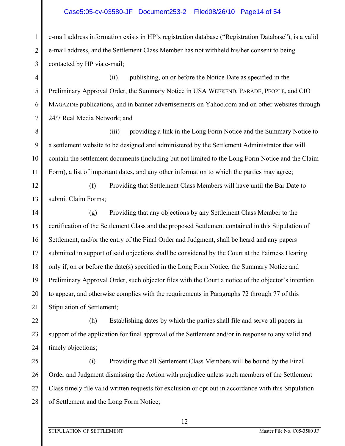## Case5:05-cv-03580-JF Document253-2 Filed08/26/10 Page14 of 54

2 3 e-mail address information exists in HP's registration database ("Registration Database"), is a valid e-mail address, and the Settlement Class Member has not withheld his/her consent to being contacted by HP via e-mail;

4 5 6 7 (ii) publishing, on or before the Notice Date as specified in the Preliminary Approval Order, the Summary Notice in USA WEEKEND, PARADE, PEOPLE, and CIO MAGAZINE publications, and in banner advertisements on Yahoo.com and on other websites through 24/7 Real Media Network; and

8 9 10 11 (iii) providing a link in the Long Form Notice and the Summary Notice to a settlement website to be designed and administered by the Settlement Administrator that will contain the settlement documents (including but not limited to the Long Form Notice and the Claim Form), a list of important dates, and any other information to which the parties may agree;

12 13 (f) Providing that Settlement Class Members will have until the Bar Date to submit Claim Forms;

14 15 16 17 18 19 20 21 (g) Providing that any objections by any Settlement Class Member to the certification of the Settlement Class and the proposed Settlement contained in this Stipulation of Settlement, and/or the entry of the Final Order and Judgment, shall be heard and any papers submitted in support of said objections shall be considered by the Court at the Fairness Hearing only if, on or before the date(s) specified in the Long Form Notice, the Summary Notice and Preliminary Approval Order, such objector files with the Court a notice of the objector's intention to appear, and otherwise complies with the requirements in Paragraphs 72 through 77 of this Stipulation of Settlement;

22 23 24 (h) Establishing dates by which the parties shall file and serve all papers in support of the application for final approval of the Settlement and/or in response to any valid and timely objections;

25 26 27 28 (i) Providing that all Settlement Class Members will be bound by the Final Order and Judgment dismissing the Action with prejudice unless such members of the Settlement Class timely file valid written requests for exclusion or opt out in accordance with this Stipulation of Settlement and the Long Form Notice;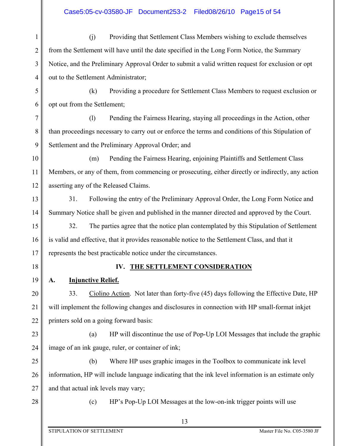1 2 3 4 (j) Providing that Settlement Class Members wishing to exclude themselves from the Settlement will have until the date specified in the Long Form Notice, the Summary Notice, and the Preliminary Approval Order to submit a valid written request for exclusion or opt out to the Settlement Administrator;

(k) Providing a procedure for Settlement Class Members to request exclusion or opt out from the Settlement;

8 9 (l) Pending the Fairness Hearing, staying all proceedings in the Action, other than proceedings necessary to carry out or enforce the terms and conditions of this Stipulation of Settlement and the Preliminary Approval Order; and

10 11 12 (m) Pending the Fairness Hearing, enjoining Plaintiffs and Settlement Class Members, or any of them, from commencing or prosecuting, either directly or indirectly, any action asserting any of the Released Claims.

31. Following the entry of the Preliminary Approval Order, the Long Form Notice and Summary Notice shall be given and published in the manner directed and approved by the Court.

32. The parties agree that the notice plan contemplated by this Stipulation of Settlement is valid and effective, that it provides reasonable notice to the Settlement Class, and that it represents the best practicable notice under the circumstances.

18

19

13

14

15

16

17

5

6

7

## **IV. THE SETTLEMENT CONSIDERATION**

## **A. Injunctive Relief.**

20 21 22 33. Ciolino Action. Not later than forty-five (45) days following the Effective Date, HP will implement the following changes and disclosures in connection with HP small-format inkjet printers sold on a going forward basis:

23 24 (a) HP will discontinue the use of Pop-Up LOI Messages that include the graphic image of an ink gauge, ruler, or container of ink;

25 26 27 (b) Where HP uses graphic images in the Toolbox to communicate ink level information, HP will include language indicating that the ink level information is an estimate only and that actual ink levels may vary;

28

(c) HP's Pop-Up LOI Messages at the low-on-ink trigger points will use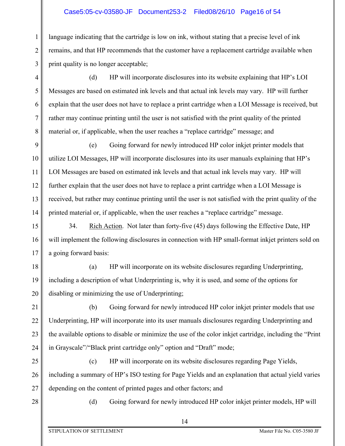## Case5:05-cv-03580-JF Document253-2 Filed08/26/10 Page16 of 54

1 2 3 language indicating that the cartridge is low on ink, without stating that a precise level of ink remains, and that HP recommends that the customer have a replacement cartridge available when print quality is no longer acceptable;

(d) HP will incorporate disclosures into its website explaining that HP's LOI Messages are based on estimated ink levels and that actual ink levels may vary. HP will further explain that the user does not have to replace a print cartridge when a LOI Message is received, but rather may continue printing until the user is not satisfied with the print quality of the printed material or, if applicable, when the user reaches a "replace cartridge" message; and

9 10 11 12 13 14 (e) Going forward for newly introduced HP color inkjet printer models that utilize LOI Messages, HP will incorporate disclosures into its user manuals explaining that HP's LOI Messages are based on estimated ink levels and that actual ink levels may vary. HP will further explain that the user does not have to replace a print cartridge when a LOI Message is received, but rather may continue printing until the user is not satisfied with the print quality of the printed material or, if applicable, when the user reaches a "replace cartridge" message.

15 16 17 34. Rich Action. Not later than forty-five (45) days following the Effective Date, HP will implement the following disclosures in connection with HP small-format inkjet printers sold on a going forward basis:

18 19 20 (a) HP will incorporate on its website disclosures regarding Underprinting, including a description of what Underprinting is, why it is used, and some of the options for disabling or minimizing the use of Underprinting;

21 22 23 24 (b) Going forward for newly introduced HP color inkjet printer models that use Underprinting, HP will incorporate into its user manuals disclosures regarding Underprinting and the available options to disable or minimize the use of the color inkjet cartridge, including the "Print in Grayscale"/"Black print cartridge only" option and "Draft" mode;

25 26 27 (c) HP will incorporate on its website disclosures regarding Page Yields, including a summary of HP's ISO testing for Page Yields and an explanation that actual yield varies depending on the content of printed pages and other factors; and

28

4

5

6

7

8

(d) Going forward for newly introduced HP color inkjet printer models, HP will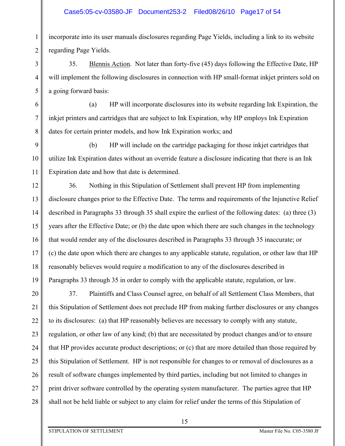## Case5:05-cv-03580-JF Document253-2 Filed08/26/10 Page17 of 54

incorporate into its user manuals disclosures regarding Page Yields, including a link to its website regarding Page Yields.

35. Blennis Action. Not later than forty-five (45) days following the Effective Date, HP will implement the following disclosures in connection with HP small-format inkjet printers sold on a going forward basis:

(a) HP will incorporate disclosures into its website regarding Ink Expiration, the inkjet printers and cartridges that are subject to Ink Expiration, why HP employs Ink Expiration dates for certain printer models, and how Ink Expiration works; and

9 10 11 (b) HP will include on the cartridge packaging for those inkjet cartridges that utilize Ink Expiration dates without an override feature a disclosure indicating that there is an Ink Expiration date and how that date is determined.

12 13 14 15 16 17 18 19 36. Nothing in this Stipulation of Settlement shall prevent HP from implementing disclosure changes prior to the Effective Date. The terms and requirements of the Injunctive Relief described in Paragraphs 33 through 35 shall expire the earliest of the following dates: (a) three (3) years after the Effective Date; or (b) the date upon which there are such changes in the technology that would render any of the disclosures described in Paragraphs 33 through 35 inaccurate; or (c) the date upon which there are changes to any applicable statute, regulation, or other law that HP reasonably believes would require a modification to any of the disclosures described in Paragraphs 33 through 35 in order to comply with the applicable statute, regulation, or law.

20 21 22 23 24 25 26 27 28 37. Plaintiffs and Class Counsel agree, on behalf of all Settlement Class Members, that this Stipulation of Settlement does not preclude HP from making further disclosures or any changes to its disclosures: (a) that HP reasonably believes are necessary to comply with any statute, regulation, or other law of any kind; (b) that are necessitated by product changes and/or to ensure that HP provides accurate product descriptions; or (c) that are more detailed than those required by this Stipulation of Settlement. HP is not responsible for changes to or removal of disclosures as a result of software changes implemented by third parties, including but not limited to changes in print driver software controlled by the operating system manufacturer. The parties agree that HP shall not be held liable or subject to any claim for relief under the terms of this Stipulation of

1

2

3

4

5

6

7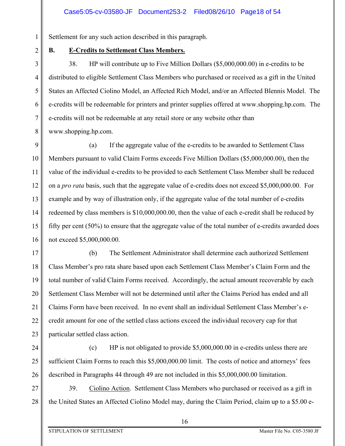Settlement for any such action described in this paragraph.

2 3

4

5

6

7

8

1

## **B. E-Credits to Settlement Class Members.**

38. HP will contribute up to Five Million Dollars (\$5,000,000.00) in e-credits to be distributed to eligible Settlement Class Members who purchased or received as a gift in the United States an Affected Ciolino Model, an Affected Rich Model, and/or an Affected Blennis Model. The e-credits will be redeemable for printers and printer supplies offered at www.shopping.hp.com. The e-credits will not be redeemable at any retail store or any website other than www.shopping.hp.com.

9 10 11 12 13 14 15 16 (a) If the aggregate value of the e-credits to be awarded to Settlement Class Members pursuant to valid Claim Forms exceeds Five Million Dollars (\$5,000,000.00), then the value of the individual e-credits to be provided to each Settlement Class Member shall be reduced on a *pro rata* basis, such that the aggregate value of e-credits does not exceed \$5,000,000.00. For example and by way of illustration only, if the aggregate value of the total number of e-credits redeemed by class members is \$10,000,000.00, then the value of each e-credit shall be reduced by fifty per cent (50%) to ensure that the aggregate value of the total number of e-credits awarded does not exceed \$5,000,000.00.

17 18 19 20 21 22 23 (b) The Settlement Administrator shall determine each authorized Settlement Class Member's pro rata share based upon each Settlement Class Member's Claim Form and the total number of valid Claim Forms received. Accordingly, the actual amount recoverable by each Settlement Class Member will not be determined until after the Claims Period has ended and all Claims Form have been received. In no event shall an individual Settlement Class Member's ecredit amount for one of the settled class actions exceed the individual recovery cap for that particular settled class action.

24

25

26

(c) HP is not obligated to provide \$5,000,000.00 in e-credits unless there are sufficient Claim Forms to reach this \$5,000,000.00 limit. The costs of notice and attorneys' fees described in Paragraphs 44 through 49 are not included in this \$5,000,000.00 limitation.

27 28 39. Ciolino Action. Settlement Class Members who purchased or received as a gift in the United States an Affected Ciolino Model may, during the Claim Period, claim up to a \$5.00 e-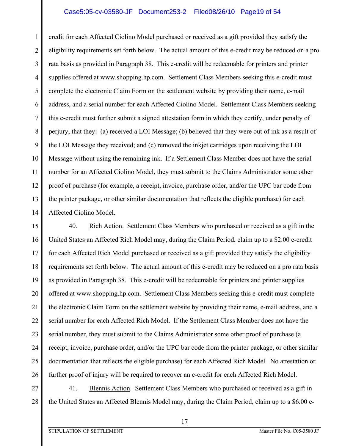## Case5:05-cv-03580-JF Document253-2 Filed08/26/10 Page19 of 54

1 2 3 4 5 6 7 8 9 10 11 12 13 14 credit for each Affected Ciolino Model purchased or received as a gift provided they satisfy the eligibility requirements set forth below. The actual amount of this e-credit may be reduced on a pro rata basis as provided in Paragraph 38. This e-credit will be redeemable for printers and printer supplies offered at www.shopping.hp.com. Settlement Class Members seeking this e-credit must complete the electronic Claim Form on the settlement website by providing their name, e-mail address, and a serial number for each Affected Ciolino Model. Settlement Class Members seeking this e-credit must further submit a signed attestation form in which they certify, under penalty of perjury, that they: (a) received a LOI Message; (b) believed that they were out of ink as a result of the LOI Message they received; and (c) removed the inkjet cartridges upon receiving the LOI Message without using the remaining ink. If a Settlement Class Member does not have the serial number for an Affected Ciolino Model, they must submit to the Claims Administrator some other proof of purchase (for example, a receipt, invoice, purchase order, and/or the UPC bar code from the printer package, or other similar documentation that reflects the eligible purchase) for each Affected Ciolino Model.

15 16 17 18 19 20 21 22 23 24 25 26 40. Rich Action. Settlement Class Members who purchased or received as a gift in the United States an Affected Rich Model may, during the Claim Period, claim up to a \$2.00 e-credit for each Affected Rich Model purchased or received as a gift provided they satisfy the eligibility requirements set forth below. The actual amount of this e-credit may be reduced on a pro rata basis as provided in Paragraph 38. This e-credit will be redeemable for printers and printer supplies offered at www.shopping.hp.com. Settlement Class Members seeking this e-credit must complete the electronic Claim Form on the settlement website by providing their name, e-mail address, and a serial number for each Affected Rich Model. If the Settlement Class Member does not have the serial number, they must submit to the Claims Administrator some other proof of purchase (a receipt, invoice, purchase order, and/or the UPC bar code from the printer package, or other similar documentation that reflects the eligible purchase) for each Affected Rich Model. No attestation or further proof of injury will be required to recover an e-credit for each Affected Rich Model.

27 28 41. Blennis Action. Settlement Class Members who purchased or received as a gift in the United States an Affected Blennis Model may, during the Claim Period, claim up to a \$6.00 e-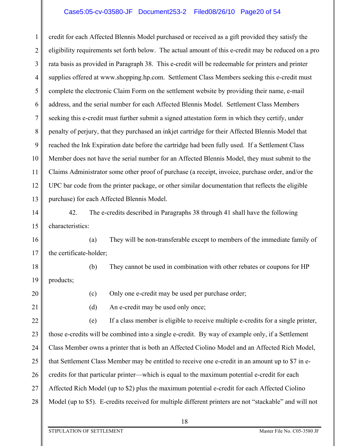## Case5:05-cv-03580-JF Document253-2 Filed08/26/10 Page20 of 54

1 2 3 4 5 6 7 8 9 10 11 12 13 credit for each Affected Blennis Model purchased or received as a gift provided they satisfy the eligibility requirements set forth below. The actual amount of this e-credit may be reduced on a pro rata basis as provided in Paragraph 38. This e-credit will be redeemable for printers and printer supplies offered at www.shopping.hp.com. Settlement Class Members seeking this e-credit must complete the electronic Claim Form on the settlement website by providing their name, e-mail address, and the serial number for each Affected Blennis Model. Settlement Class Members seeking this e-credit must further submit a signed attestation form in which they certify, under penalty of perjury, that they purchased an inkjet cartridge for their Affected Blennis Model that reached the Ink Expiration date before the cartridge had been fully used. If a Settlement Class Member does not have the serial number for an Affected Blennis Model, they must submit to the Claims Administrator some other proof of purchase (a receipt, invoice, purchase order, and/or the UPC bar code from the printer package, or other similar documentation that reflects the eligible purchase) for each Affected Blennis Model.

14 15 42. The e-credits described in Paragraphs 38 through 41 shall have the following characteristics:

(a) They will be non-transferable except to members of the immediate family of the certificate-holder;

18 19 (b) They cannot be used in combination with other rebates or coupons for HP products;

20

16

17

(c) Only one e-credit may be used per purchase order;

21

(d) An e-credit may be used only once;

22 23 24 25 26 27 28 (e) If a class member is eligible to receive multiple e-credits for a single printer, those e-credits will be combined into a single e-credit. By way of example only, if a Settlement Class Member owns a printer that is both an Affected Ciolino Model and an Affected Rich Model, that Settlement Class Member may be entitled to receive one e-credit in an amount up to \$7 in ecredits for that particular printer—which is equal to the maximum potential e-credit for each Affected Rich Model (up to \$2) plus the maximum potential e-credit for each Affected Ciolino Model (up to \$5). E-credits received for multiple different printers are not "stackable" and will not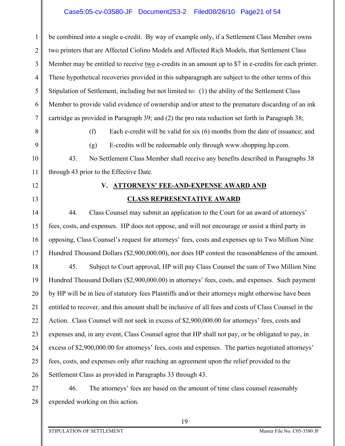## Case5:05-cv-03580-JF Document253-2 Filed08/26/10 Page21 of 54

1 2 3 4 5 6 7 be combined into a single e-credit. By way of example only, if a Settlement Class Member owns two printers that are Affected Ciolino Models and Affected Rich Models, that Settlement Class Member may be entitled to receive two e-credits in an amount up to \$7 in e-credits for each printer. These hypothetical recoveries provided in this subparagraph are subject to the other terms of this Stipulation of Settlement, including but not limited to: (1) the ability of the Settlement Class Member to provide valid evidence of ownership and/or attest to the premature discarding of an ink cartridge as provided in Paragraph 39; and (2) the pro rata reduction set forth in Paragraph 38;

8

9

10

11

(f) Each e-credit will be valid for six (6) months from the date of issuance; and

(g) E-credits will be redeemable only through www.shopping.hp.com.

43. No Settlement Class Member shall receive any benefits described in Paragraphs 38 through 43 prior to the Effective Date.

12

#### 13

## **V. ATTORNEYS' FEE-AND-EXPENSE AWARD AND CLASS REPRESENTATIVE AWARD**

14 15 16 17 44. Class Counsel may submit an application to the Court for an award of attorneys' fees, costs, and expenses. HP does not oppose, and will not encourage or assist a third party in opposing, Class Counsel's request for attorneys' fees, costs and expenses up to Two Million Nine Hundred Thousand Dollars (\$2,900,000.00), nor does HP contest the reasonableness of the amount.

18 19 20 21 22 23 24 25 26 45. Subject to Court approval, HP will pay Class Counsel the sum of Two Million Nine Hundred Thousand Dollars (\$2,900,000.00) in attorneys' fees, costs, and expenses. Such payment by HP will be in lieu of statutory fees Plaintiffs and/or their attorneys might otherwise have been entitled to recover, and this amount shall be inclusive of all fees and costs of Class Counsel in the Action. Class Counsel will not seek in excess of \$2,900,000.00 for attorneys' fees, costs and expenses and, in any event, Class Counsel agree that HP shall not pay, or be obligated to pay, in excess of \$2,900,000.00 for attorneys' fees, costs and expenses. The parties negotiated attorneys' fees, costs, and expenses only after reaching an agreement upon the relief provided to the Settlement Class as provided in Paragraphs 33 through 43.

27 28 46. The attorneys' fees are based on the amount of time class counsel reasonably expended working on this action.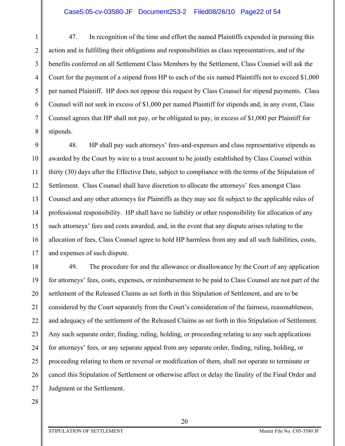1 2 3 4 5 6 7 8 47. In recognition of the time and effort the named Plaintiffs expended in pursuing this action and in fulfilling their obligations and responsibilities as class representatives, and of the benefits conferred on all Settlement Class Members by the Settlement, Class Counsel will ask the Court for the payment of a stipend from HP to each of the six named Plaintiffs not to exceed \$1,000 per named Plaintiff. HP does not oppose this request by Class Counsel for stipend payments. Class Counsel will not seek in excess of \$1,000 per named Plaintiff for stipends and, in any event, Class Counsel agrees that HP shall not pay, or be obligated to pay, in excess of \$1,000 per Plaintiff for stipends.

9 10 11 12 13 14 15 16 17 48. HP shall pay such attorneys' fees-and-expenses and class representative stipends as awarded by the Court by wire to a trust account to be jointly established by Class Counsel within thirty (30) days after the Effective Date, subject to compliance with the terms of the Stipulation of Settlement. Class Counsel shall have discretion to allocate the attorneys' fees amongst Class Counsel and any other attorneys for Plaintiffs as they may see fit subject to the applicable rules of professional responsibility. HP shall have no liability or other responsibility for allocation of any such attorneys' fees and costs awarded, and, in the event that any dispute arises relating to the allocation of fees, Class Counsel agree to hold HP harmless from any and all such liabilities, costs, and expenses of such dispute.

18 19 20 21 22 23 24 25 26 27 49. The procedure for and the allowance or disallowance by the Court of any application for attorneys' fees, costs, expenses, or reimbursement to be paid to Class Counsel are not part of the settlement of the Released Claims as set forth in this Stipulation of Settlement, and are to be considered by the Court separately from the Court's consideration of the fairness, reasonableness, and adequacy of the settlement of the Released Claims as set forth in this Stipulation of Settlement. Any such separate order, finding, ruling, holding, or proceeding relating to any such applications for attorneys' fees, or any separate appeal from any separate order, finding, ruling, holding, or proceeding relating to them or reversal or modification of them, shall not operate to terminate or cancel this Stipulation of Settlement or otherwise affect or delay the finality of the Final Order and Judgment or the Settlement.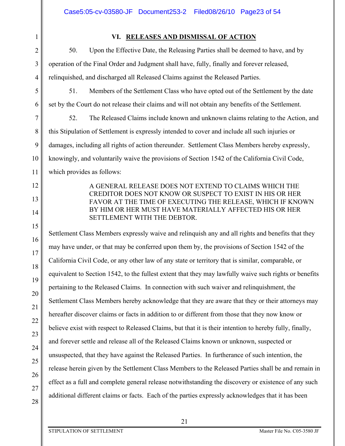## **VI. RELEASES AND DISMISSAL OF ACTION**

50. Upon the Effective Date, the Releasing Parties shall be deemed to have, and by operation of the Final Order and Judgment shall have, fully, finally and forever released, relinquished, and discharged all Released Claims against the Released Parties.

1

2

3

4

5

6

7

8

9

10

11

12

13

14

15

16

17

18

19

20

21

22

51. Members of the Settlement Class who have opted out of the Settlement by the date set by the Court do not release their claims and will not obtain any benefits of the Settlement.

52. The Released Claims include known and unknown claims relating to the Action, and this Stipulation of Settlement is expressly intended to cover and include all such injuries or damages, including all rights of action thereunder. Settlement Class Members hereby expressly, knowingly, and voluntarily waive the provisions of Section 1542 of the California Civil Code, which provides as follows:

> A GENERAL RELEASE DOES NOT EXTEND TO CLAIMS WHICH THE CREDITOR DOES NOT KNOW OR SUSPECT TO EXIST IN HIS OR HER FAVOR AT THE TIME OF EXECUTING THE RELEASE, WHICH IF KNOWN BY HIM OR HER MUST HAVE MATERIALLY AFFECTED HIS OR HER SETTLEMENT WITH THE DEBTOR.

Settlement Class Members expressly waive and relinquish any and all rights and benefits that they may have under, or that may be conferred upon them by, the provisions of Section 1542 of the California Civil Code, or any other law of any state or territory that is similar, comparable, or equivalent to Section 1542, to the fullest extent that they may lawfully waive such rights or benefits pertaining to the Released Claims. In connection with such waiver and relinquishment, the Settlement Class Members hereby acknowledge that they are aware that they or their attorneys may hereafter discover claims or facts in addition to or different from those that they now know or believe exist with respect to Released Claims, but that it is their intention to hereby fully, finally, and forever settle and release all of the Released Claims known or unknown, suspected or unsuspected, that they have against the Released Parties. In furtherance of such intention, the release herein given by the Settlement Class Members to the Released Parties shall be and remain in effect as a full and complete general release notwithstanding the discovery or existence of any such additional different claims or facts. Each of the parties expressly acknowledges that it has been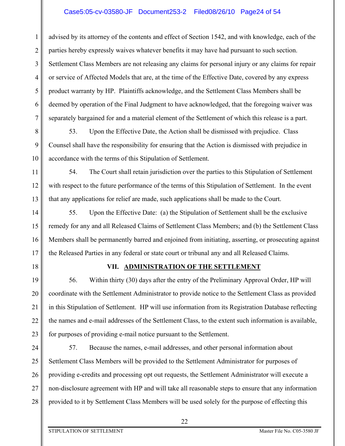## Case5:05-cv-03580-JF Document253-2 Filed08/26/10 Page24 of 54

1 2 3 4 5 6 7 advised by its attorney of the contents and effect of Section 1542, and with knowledge, each of the parties hereby expressly waives whatever benefits it may have had pursuant to such section. Settlement Class Members are not releasing any claims for personal injury or any claims for repair or service of Affected Models that are, at the time of the Effective Date, covered by any express product warranty by HP. Plaintiffs acknowledge, and the Settlement Class Members shall be deemed by operation of the Final Judgment to have acknowledged, that the foregoing waiver was separately bargained for and a material element of the Settlement of which this release is a part.

53. Upon the Effective Date, the Action shall be dismissed with prejudice. Class Counsel shall have the responsibility for ensuring that the Action is dismissed with prejudice in accordance with the terms of this Stipulation of Settlement.

54. The Court shall retain jurisdiction over the parties to this Stipulation of Settlement with respect to the future performance of the terms of this Stipulation of Settlement. In the event that any applications for relief are made, such applications shall be made to the Court.

14 15 16 17 55. Upon the Effective Date: (a) the Stipulation of Settlement shall be the exclusive remedy for any and all Released Claims of Settlement Class Members; and (b) the Settlement Class Members shall be permanently barred and enjoined from initiating, asserting, or prosecuting against the Released Parties in any federal or state court or tribunal any and all Released Claims.

18

8

9

10

11

12

13

## **VII. ADMINISTRATION OF THE SETTLEMENT**

19 20 21 22 23 56. Within thirty (30) days after the entry of the Preliminary Approval Order, HP will coordinate with the Settlement Administrator to provide notice to the Settlement Class as provided in this Stipulation of Settlement. HP will use information from its Registration Database reflecting the names and e-mail addresses of the Settlement Class, to the extent such information is available, for purposes of providing e-mail notice pursuant to the Settlement.

24 25 26 27 28 57. Because the names, e-mail addresses, and other personal information about Settlement Class Members will be provided to the Settlement Administrator for purposes of providing e-credits and processing opt out requests, the Settlement Administrator will execute a non-disclosure agreement with HP and will take all reasonable steps to ensure that any information provided to it by Settlement Class Members will be used solely for the purpose of effecting this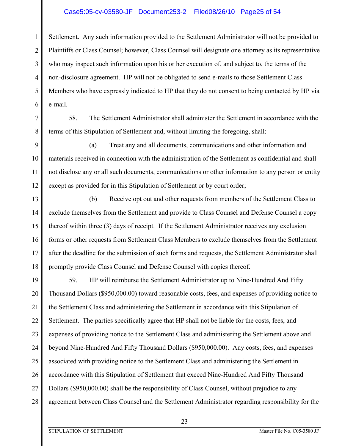## Case5:05-cv-03580-JF Document253-2 Filed08/26/10 Page25 of 54

1 2 3 4 5 6 Settlement. Any such information provided to the Settlement Administrator will not be provided to Plaintiffs or Class Counsel; however, Class Counsel will designate one attorney as its representative who may inspect such information upon his or her execution of, and subject to, the terms of the non-disclosure agreement. HP will not be obligated to send e-mails to those Settlement Class Members who have expressly indicated to HP that they do not consent to being contacted by HP via e-mail.

7 8

58. The Settlement Administrator shall administer the Settlement in accordance with the terms of this Stipulation of Settlement and, without limiting the foregoing, shall:

9 10 11 12 (a) Treat any and all documents, communications and other information and materials received in connection with the administration of the Settlement as confidential and shall not disclose any or all such documents, communications or other information to any person or entity except as provided for in this Stipulation of Settlement or by court order;

13 14 15 16 17 18 (b) Receive opt out and other requests from members of the Settlement Class to exclude themselves from the Settlement and provide to Class Counsel and Defense Counsel a copy thereof within three (3) days of receipt. If the Settlement Administrator receives any exclusion forms or other requests from Settlement Class Members to exclude themselves from the Settlement after the deadline for the submission of such forms and requests, the Settlement Administrator shall promptly provide Class Counsel and Defense Counsel with copies thereof.

19 20 21 22 23 24 25 26 27 28 59. HP will reimburse the Settlement Administrator up to Nine-Hundred And Fifty Thousand Dollars (\$950,000.00) toward reasonable costs, fees, and expenses of providing notice to the Settlement Class and administering the Settlement in accordance with this Stipulation of Settlement. The parties specifically agree that HP shall not be liable for the costs, fees, and expenses of providing notice to the Settlement Class and administering the Settlement above and beyond Nine-Hundred And Fifty Thousand Dollars (\$950,000.00). Any costs, fees, and expenses associated with providing notice to the Settlement Class and administering the Settlement in accordance with this Stipulation of Settlement that exceed Nine-Hundred And Fifty Thousand Dollars (\$950,000.00) shall be the responsibility of Class Counsel, without prejudice to any agreement between Class Counsel and the Settlement Administrator regarding responsibility for the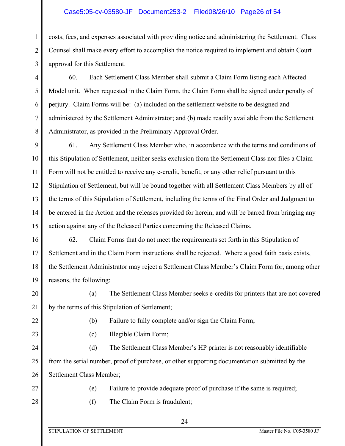## Case5:05-cv-03580-JF Document253-2 Filed08/26/10 Page26 of 54

1 2 3 costs, fees, and expenses associated with providing notice and administering the Settlement. Class Counsel shall make every effort to accomplish the notice required to implement and obtain Court approval for this Settlement.

60. Each Settlement Class Member shall submit a Claim Form listing each Affected Model unit. When requested in the Claim Form, the Claim Form shall be signed under penalty of perjury. Claim Forms will be: (a) included on the settlement website to be designed and administered by the Settlement Administrator; and (b) made readily available from the Settlement Administrator, as provided in the Preliminary Approval Order.

9 10 11 12 13 14 15 61. Any Settlement Class Member who, in accordance with the terms and conditions of this Stipulation of Settlement, neither seeks exclusion from the Settlement Class nor files a Claim Form will not be entitled to receive any e-credit, benefit, or any other relief pursuant to this Stipulation of Settlement, but will be bound together with all Settlement Class Members by all of the terms of this Stipulation of Settlement, including the terms of the Final Order and Judgment to be entered in the Action and the releases provided for herein, and will be barred from bringing any action against any of the Released Parties concerning the Released Claims.

16 17 18 19 62. Claim Forms that do not meet the requirements set forth in this Stipulation of Settlement and in the Claim Form instructions shall be rejected. Where a good faith basis exists, the Settlement Administrator may reject a Settlement Class Member's Claim Form for, among other reasons, the following:

20 21 (a) The Settlement Class Member seeks e-credits for printers that are not covered by the terms of this Stipulation of Settlement;

22

23

4

5

6

7

8

(b) Failure to fully complete and/or sign the Claim Form;

(c) Illegible Claim Form;

24 25 26 (d) The Settlement Class Member's HP printer is not reasonably identifiable from the serial number, proof of purchase, or other supporting documentation submitted by the Settlement Class Member;

27

28

(e) Failure to provide adequate proof of purchase if the same is required;

(f) The Claim Form is fraudulent;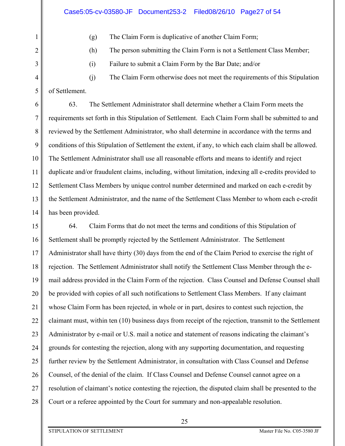1

2

3

4

5

(g) The Claim Form is duplicative of another Claim Form;

(h) The person submitting the Claim Form is not a Settlement Class Member;

(i) Failure to submit a Claim Form by the Bar Date; and/or

(j) The Claim Form otherwise does not meet the requirements of this Stipulation of Settlement.

6 7 8 9 10 11 12 13 14 63. The Settlement Administrator shall determine whether a Claim Form meets the requirements set forth in this Stipulation of Settlement. Each Claim Form shall be submitted to and reviewed by the Settlement Administrator, who shall determine in accordance with the terms and conditions of this Stipulation of Settlement the extent, if any, to which each claim shall be allowed. The Settlement Administrator shall use all reasonable efforts and means to identify and reject duplicate and/or fraudulent claims, including, without limitation, indexing all e-credits provided to Settlement Class Members by unique control number determined and marked on each e-credit by the Settlement Administrator, and the name of the Settlement Class Member to whom each e-credit has been provided.

15 16 17 18 19 20 21 22 23 24 25 26 27 28 64. Claim Forms that do not meet the terms and conditions of this Stipulation of Settlement shall be promptly rejected by the Settlement Administrator. The Settlement Administrator shall have thirty (30) days from the end of the Claim Period to exercise the right of rejection. The Settlement Administrator shall notify the Settlement Class Member through the email address provided in the Claim Form of the rejection. Class Counsel and Defense Counsel shall be provided with copies of all such notifications to Settlement Class Members. If any claimant whose Claim Form has been rejected, in whole or in part, desires to contest such rejection, the claimant must, within ten (10) business days from receipt of the rejection, transmit to the Settlement Administrator by e-mail or U.S. mail a notice and statement of reasons indicating the claimant's grounds for contesting the rejection, along with any supporting documentation, and requesting further review by the Settlement Administrator, in consultation with Class Counsel and Defense Counsel, of the denial of the claim. If Class Counsel and Defense Counsel cannot agree on a resolution of claimant's notice contesting the rejection, the disputed claim shall be presented to the Court or a referee appointed by the Court for summary and non-appealable resolution.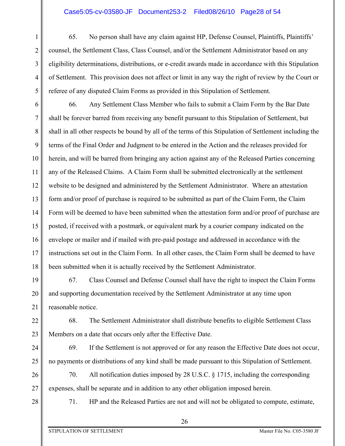### Case5:05-cv-03580-JF Document253-2 Filed08/26/10 Page28 of 54

1 2 3 4 5 65. No person shall have any claim against HP, Defense Counsel, Plaintiffs, Plaintiffs' counsel, the Settlement Class, Class Counsel, and/or the Settlement Administrator based on any eligibility determinations, distributions, or e-credit awards made in accordance with this Stipulation of Settlement. This provision does not affect or limit in any way the right of review by the Court or referee of any disputed Claim Forms as provided in this Stipulation of Settlement.

6 7 8 9 10 11 12 13 14 15 16 17 18 66. Any Settlement Class Member who fails to submit a Claim Form by the Bar Date shall be forever barred from receiving any benefit pursuant to this Stipulation of Settlement, but shall in all other respects be bound by all of the terms of this Stipulation of Settlement including the terms of the Final Order and Judgment to be entered in the Action and the releases provided for herein, and will be barred from bringing any action against any of the Released Parties concerning any of the Released Claims. A Claim Form shall be submitted electronically at the settlement website to be designed and administered by the Settlement Administrator. Where an attestation form and/or proof of purchase is required to be submitted as part of the Claim Form, the Claim Form will be deemed to have been submitted when the attestation form and/or proof of purchase are posted, if received with a postmark, or equivalent mark by a courier company indicated on the envelope or mailer and if mailed with pre-paid postage and addressed in accordance with the instructions set out in the Claim Form. In all other cases, the Claim Form shall be deemed to have been submitted when it is actually received by the Settlement Administrator.

19 20 21 67. Class Counsel and Defense Counsel shall have the right to inspect the Claim Forms and supporting documentation received by the Settlement Administrator at any time upon reasonable notice.

22 23 68. The Settlement Administrator shall distribute benefits to eligible Settlement Class Members on a date that occurs only after the Effective Date.

69. If the Settlement is not approved or for any reason the Effective Date does not occur, no payments or distributions of any kind shall be made pursuant to this Stipulation of Settlement.

26 27 70. All notification duties imposed by 28 U.S.C. § 1715, including the corresponding expenses, shall be separate and in addition to any other obligation imposed herein.

28

24

25

71. HP and the Released Parties are not and will not be obligated to compute, estimate,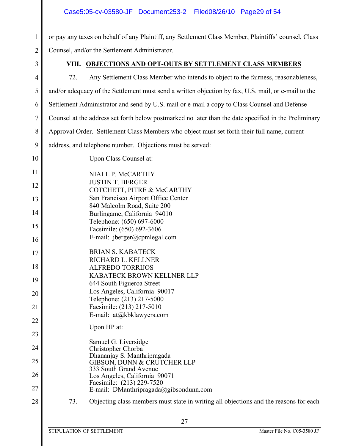or pay any taxes on behalf of any Plaintiff, any Settlement Class Member, Plaintiffs' counsel, Class Counsel, and/or the Settlement Administrator.

3

1

2

## **VIII. OBJECTIONS AND OPT-OUTS BY SETTLEMENT CLASS MEMBERS**

| $\overline{4}$ | Any Settlement Class Member who intends to object to the fairness, reasonableness,<br>72.             |
|----------------|-------------------------------------------------------------------------------------------------------|
| 5              | and/or adequacy of the Settlement must send a written objection by fax, U.S. mail, or e-mail to the   |
| 6              | Settlement Administrator and send by U.S. mail or e-mail a copy to Class Counsel and Defense          |
| 7              | Counsel at the address set forth below postmarked no later than the date specified in the Preliminary |
| $8\,$          | Approval Order. Settlement Class Members who object must set forth their full name, current           |
| 9              | address, and telephone number. Objections must be served:                                             |
| 10             | Upon Class Counsel at:                                                                                |
| 11             | NIALL P. McCARTHY                                                                                     |
| 12             | <b>JUSTIN T. BERGER</b>                                                                               |
|                | COTCHETT, PITRE & McCARTHY                                                                            |
| 13             | San Francisco Airport Office Center                                                                   |
| 14             | 840 Malcolm Road, Suite 200<br>Burlingame, California 94010                                           |
|                | Telephone: (650) 697-6000                                                                             |
| 15             | Facsimile: (650) 692-3606                                                                             |
| 16             | E-mail: jberger@cpmlegal.com                                                                          |
| 17             | <b>BRIAN S. KABATECK</b>                                                                              |
|                | RICHARD L. KELLNER                                                                                    |
| 18             | <b>ALFREDO TORRIJOS</b>                                                                               |
| 19             | KABATECK BROWN KELLNER LLP                                                                            |
|                | 644 South Figueroa Street                                                                             |
| 20             | Los Angeles, California 90017                                                                         |
|                | Telephone: (213) 217-5000                                                                             |
| 21             | Facsimile: (213) 217-5010                                                                             |
| 22             | E-mail: at@kbklawyers.com                                                                             |
|                | Upon HP at:                                                                                           |
| 23             |                                                                                                       |
|                | Samuel G. Liversidge                                                                                  |
| 24             | Christopher Chorba                                                                                    |
| 25             | Dhananjay S. Manthripragada<br>GIBSON, DUNN & CRUTCHER LLP                                            |
|                | 333 South Grand Avenue                                                                                |
| 26             | Los Angeles, California 90071                                                                         |
| 27             | Facsimile: (213) 229-7520<br>E-mail: DManthripragada@gibsondunn.com                                   |
| 28             | 73.<br>Objecting class members must state in writing all objections and the reasons for each          |
|                | າາ                                                                                                    |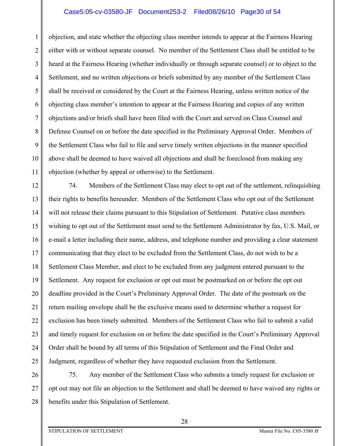## Case5:05-cv-03580-JF Document253-2 Filed08/26/10 Page30 of 54

1 2 3 4 5 6 7 8 9 10 11 objection, and state whether the objecting class member intends to appear at the Fairness Hearing either with or without separate counsel. No member of the Settlement Class shall be entitled to be heard at the Fairness Hearing (whether individually or through separate counsel) or to object to the Settlement, and no written objections or briefs submitted by any member of the Settlement Class shall be received or considered by the Court at the Fairness Hearing, unless written notice of the objecting class member's intention to appear at the Fairness Hearing and copies of any written objections and/or briefs shall have been filed with the Court and served on Class Counsel and Defense Counsel on or before the date specified in the Preliminary Approval Order. Members of the Settlement Class who fail to file and serve timely written objections in the manner specified above shall be deemed to have waived all objections and shall be foreclosed from making any objection (whether by appeal or otherwise) to the Settlement.

12 13 14 15 16 17 18 19 20 21 22 23 24 25 74. Members of the Settlement Class may elect to opt out of the settlement, relinquishing their rights to benefits hereunder. Members of the Settlement Class who opt out of the Settlement will not release their claims pursuant to this Stipulation of Settlement. Putative class members wishing to opt out of the Settlement must send to the Settlement Administrator by fax, U.S. Mail, or e-mail a letter including their name, address, and telephone number and providing a clear statement communicating that they elect to be excluded from the Settlement Class, do not wish to be a Settlement Class Member, and elect to be excluded from any judgment entered pursuant to the Settlement. Any request for exclusion or opt out must be postmarked on or before the opt out deadline provided in the Court's Preliminary Approval Order. The date of the postmark on the return mailing envelope shall be the exclusive means used to determine whether a request for exclusion has been timely submitted. Members of the Settlement Class who fail to submit a valid and timely request for exclusion on or before the date specified in the Court's Preliminary Approval Order shall be bound by all terms of this Stipulation of Settlement and the Final Order and Judgment, regardless of whether they have requested exclusion from the Settlement.

26 27 28 75. Any member of the Settlement Class who submits a timely request for exclusion or opt out may not file an objection to the Settlement and shall be deemed to have waived any rights or benefits under this Stipulation of Settlement.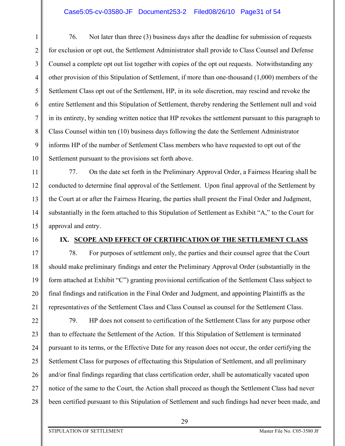1 2 3 4 5 6 7 8 9 10 76. Not later than three (3) business days after the deadline for submission of requests for exclusion or opt out, the Settlement Administrator shall provide to Class Counsel and Defense Counsel a complete opt out list together with copies of the opt out requests. Notwithstanding any other provision of this Stipulation of Settlement, if more than one-thousand (1,000) members of the Settlement Class opt out of the Settlement, HP, in its sole discretion, may rescind and revoke the entire Settlement and this Stipulation of Settlement, thereby rendering the Settlement null and void in its entirety, by sending written notice that HP revokes the settlement pursuant to this paragraph to Class Counsel within ten (10) business days following the date the Settlement Administrator informs HP of the number of Settlement Class members who have requested to opt out of the Settlement pursuant to the provisions set forth above.

11 12 13 14 15 77. On the date set forth in the Preliminary Approval Order, a Fairness Hearing shall be conducted to determine final approval of the Settlement. Upon final approval of the Settlement by the Court at or after the Fairness Hearing, the parties shall present the Final Order and Judgment, substantially in the form attached to this Stipulation of Settlement as Exhibit "A," to the Court for approval and entry.

### 16

17

18

19

20

21

## **IX. SCOPE AND EFFECT OF CERTIFICATION OF THE SETTLEMENT CLASS**

78. For purposes of settlement only, the parties and their counsel agree that the Court should make preliminary findings and enter the Preliminary Approval Order (substantially in the form attached at Exhibit "C") granting provisional certification of the Settlement Class subject to final findings and ratification in the Final Order and Judgment, and appointing Plaintiffs as the representatives of the Settlement Class and Class Counsel as counsel for the Settlement Class.

22 23 24 25 26 27 28 79. HP does not consent to certification of the Settlement Class for any purpose other than to effectuate the Settlement of the Action. If this Stipulation of Settlement is terminated pursuant to its terms, or the Effective Date for any reason does not occur, the order certifying the Settlement Class for purposes of effectuating this Stipulation of Settlement, and all preliminary and/or final findings regarding that class certification order, shall be automatically vacated upon notice of the same to the Court, the Action shall proceed as though the Settlement Class had never been certified pursuant to this Stipulation of Settlement and such findings had never been made, and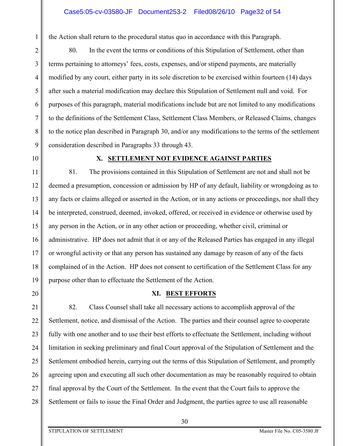the Action shall return to the procedural status quo in accordance with this Paragraph.

5 7 8 9 80. In the event the terms or conditions of this Stipulation of Settlement, other than terms pertaining to attorneys' fees, costs, expenses, and/or stipend payments, are materially modified by any court, either party in its sole discretion to be exercised within fourteen (14) days after such a material modification may declare this Stipulation of Settlement null and void. For purposes of this paragraph, material modifications include but are not limited to any modifications to the definitions of the Settlement Class, Settlement Class Members, or Released Claims, changes to the notice plan described in Paragraph 30, and/or any modifications to the terms of the settlement consideration described in Paragraphs 33 through 43.

10

1

2

3

4

6

#### **X. SETTLEMENT NOT EVIDENCE AGAINST PARTIES**

11 12 13 14 15 16 17 18 19 81. The provisions contained in this Stipulation of Settlement are not and shall not be deemed a presumption, concession or admission by HP of any default, liability or wrongdoing as to any facts or claims alleged or asserted in the Action, or in any actions or proceedings, nor shall they be interpreted, construed, deemed, invoked, offered, or received in evidence or otherwise used by any person in the Action, or in any other action or proceeding, whether civil, criminal or administrative. HP does not admit that it or any of the Released Parties has engaged in any illegal or wrongful activity or that any person has sustained any damage by reason of any of the facts complained of in the Action. HP does not consent to certification of the Settlement Class for any purpose other than to effectuate the Settlement of the Action.

20

### **XI. BEST EFFORTS**

21 22 23 24 25 26 27 28 82. Class Counsel shall take all necessary actions to accomplish approval of the Settlement, notice, and dismissal of the Action. The parties and their counsel agree to cooperate fully with one another and to use their best efforts to effectuate the Settlement, including without limitation in seeking preliminary and final Court approval of the Stipulation of Settlement and the Settlement embodied herein, carrying out the terms of this Stipulation of Settlement, and promptly agreeing upon and executing all such other documentation as may be reasonably required to obtain final approval by the Court of the Settlement. In the event that the Court fails to approve the Settlement or fails to issue the Final Order and Judgment, the parties agree to use all reasonable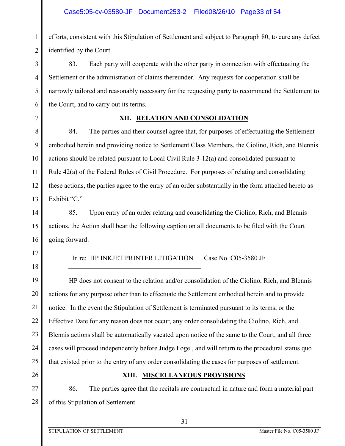1 2 efforts, consistent with this Stipulation of Settlement and subject to Paragraph 80, to cure any defect identified by the Court.

83. Each party will cooperate with the other party in connection with effectuating the Settlement or the administration of claims thereunder. Any requests for cooperation shall be narrowly tailored and reasonably necessary for the requesting party to recommend the Settlement to the Court, and to carry out its terms.

6 7

3

4

5

## **XII. RELATION AND CONSOLIDATION**

8 9 10 11 12 13 84. The parties and their counsel agree that, for purposes of effectuating the Settlement embodied herein and providing notice to Settlement Class Members, the Ciolino, Rich, and Blennis actions should be related pursuant to Local Civil Rule 3-12(a) and consolidated pursuant to Rule 42(a) of the Federal Rules of Civil Procedure. For purposes of relating and consolidating these actions, the parties agree to the entry of an order substantially in the form attached hereto as Exhibit "C."

14 15 16 85. Upon entry of an order relating and consolidating the Ciolino, Rich, and Blennis actions, the Action shall bear the following caption on all documents to be filed with the Court going forward:

In re: HP INKJET PRINTER LITIGATION Case No. C05-3580 JF

19 20 21 22 23 24 25 HP does not consent to the relation and/or consolidation of the Ciolino, Rich, and Blennis actions for any purpose other than to effectuate the Settlement embodied herein and to provide notice. In the event the Stipulation of Settlement is terminated pursuant to its terms, or the Effective Date for any reason does not occur, any order consolidating the Ciolino, Rich, and Blennis actions shall be automatically vacated upon notice of the same to the Court, and all three cases will proceed independently before Judge Fogel, and will return to the procedural status quo that existed prior to the entry of any order consolidating the cases for purposes of settlement.

26

17

18

27

## **XIII. MISCELLANEOUS PROVISIONS**

28 86. The parties agree that the recitals are contractual in nature and form a material part of this Stipulation of Settlement.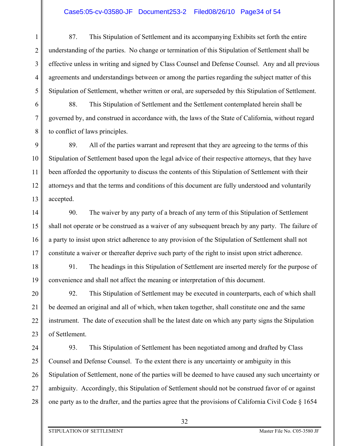## Case5:05-cv-03580-JF Document253-2 Filed08/26/10 Page34 of 54

1 2 3 4 5 87. This Stipulation of Settlement and its accompanying Exhibits set forth the entire understanding of the parties. No change or termination of this Stipulation of Settlement shall be effective unless in writing and signed by Class Counsel and Defense Counsel. Any and all previous agreements and understandings between or among the parties regarding the subject matter of this Stipulation of Settlement, whether written or oral, are superseded by this Stipulation of Settlement.

88. This Stipulation of Settlement and the Settlement contemplated herein shall be governed by, and construed in accordance with, the laws of the State of California, without regard to conflict of laws principles.

9 10 11 12 13 89. All of the parties warrant and represent that they are agreeing to the terms of this Stipulation of Settlement based upon the legal advice of their respective attorneys, that they have been afforded the opportunity to discuss the contents of this Stipulation of Settlement with their attorneys and that the terms and conditions of this document are fully understood and voluntarily accepted.

14 15 16 17 90. The waiver by any party of a breach of any term of this Stipulation of Settlement shall not operate or be construed as a waiver of any subsequent breach by any party. The failure of a party to insist upon strict adherence to any provision of the Stipulation of Settlement shall not constitute a waiver or thereafter deprive such party of the right to insist upon strict adherence.

18 19 91. The headings in this Stipulation of Settlement are inserted merely for the purpose of convenience and shall not affect the meaning or interpretation of this document.

20 21 22 23 92. This Stipulation of Settlement may be executed in counterparts, each of which shall be deemed an original and all of which, when taken together, shall constitute one and the same instrument. The date of execution shall be the latest date on which any party signs the Stipulation of Settlement.

24 25 26 27 28 93. This Stipulation of Settlement has been negotiated among and drafted by Class Counsel and Defense Counsel. To the extent there is any uncertainty or ambiguity in this Stipulation of Settlement, none of the parties will be deemed to have caused any such uncertainty or ambiguity. Accordingly, this Stipulation of Settlement should not be construed favor of or against one party as to the drafter, and the parties agree that the provisions of California Civil Code § 1654

6

7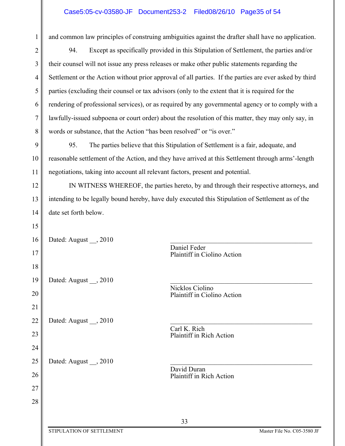## Case5:05-cv-03580-JF Document253-2 Filed08/26/10 Page35 of 54

| 1  | and common law principles of construing ambiguities against the drafter shall have no application.     |
|----|--------------------------------------------------------------------------------------------------------|
| 2  | Except as specifically provided in this Stipulation of Settlement, the parties and/or<br>94.           |
| 3  | their counsel will not issue any press releases or make other public statements regarding the          |
| 4  | Settlement or the Action without prior approval of all parties. If the parties are ever asked by third |
| 5  | parties (excluding their counsel or tax advisors (only to the extent that it is required for the       |
| 6  | rendering of professional services), or as required by any governmental agency or to comply with a     |
| 7  | lawfully-issued subpoena or court order) about the resolution of this matter, they may only say, in    |
| 8  | words or substance, that the Action "has been resolved" or "is over."                                  |
| 9  | 95.<br>The parties believe that this Stipulation of Settlement is a fair, adequate, and                |
| 10 | reasonable settlement of the Action, and they have arrived at this Settlement through arms'-length     |
| 11 | negotiations, taking into account all relevant factors, present and potential.                         |
| 12 | IN WITNESS WHEREOF, the parties hereto, by and through their respective attorneys, and                 |
| 13 | intending to be legally bound hereby, have duly executed this Stipulation of Settlement as of the      |
| 14 | date set forth below.                                                                                  |
| 15 |                                                                                                        |
| 16 | Dated: August , 2010                                                                                   |
| 17 | Daniel Feder<br>Plaintiff in Ciolino Action                                                            |
| 18 |                                                                                                        |
| 19 | Dated: August __, 2010                                                                                 |
| 20 | Nicklos Ciolino<br>Plaintiff in Ciolino Action                                                         |
| 21 |                                                                                                        |
| 22 | Dated: August , 2010<br>Carl K. Rich                                                                   |
| 23 | Plaintiff in Rich Action                                                                               |
| 24 |                                                                                                        |
| 25 | Dated: August , 2010<br>David Duran                                                                    |
| 26 | Plaintiff in Rich Action                                                                               |
| 27 |                                                                                                        |
| 28 |                                                                                                        |
|    | 33                                                                                                     |
|    | STIPULATION OF SETTLEMENT<br>Master File No. C05-3580 JF                                               |

 $\parallel$ 

 $\mathbb{I}$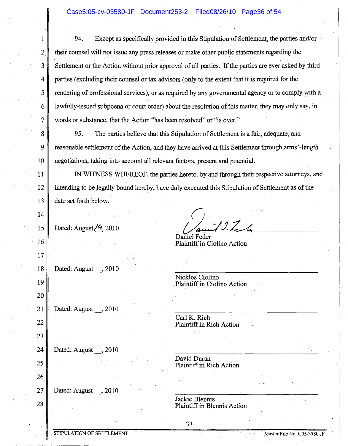94. Except as specifically provided in this Stipulation of Settlement, the parties and/or their counsel will not issue any press releases or make other public statements regarding the Settlement or the Action without prior approval of all parties. If the parties are ever asked by third parties (excluding their counsel or tax advisors (only to the extent that it is required for the rendering of professional services), or as required by any governmental agency or to comply with a lawfully-issued subpoena or court order) about the resolution of this matter, they may only say, in words or substance, that the Action "has been resolved" or "is over."

95. . The parties believe that this Stipulation of Settlement is a fair, adequate, and reasonable settlement of the Action, and they have arrived at this Settlement through arms'-length negotiations, taking into account all relevant factors, present and potential.

.IN WITNESS WHEREOF, the parties hereto, by and through their respective attorneys, and intending to be legally bound hereby, have duly executed this Stipulation of Settlement as of the date set forth below.

Daniel Feder

15 16 17 18 Dated: August $/9$ , 2010 Dated: August \_\_, 2010 19 20 21 Dated: August\_, 2010 22 23 24 | Dated: August \_\_, 2010 25 26 27 || Dated: August , 2010

1

2

3

4

5

6

7

8

.9

10

11

12

13

14

28

Plaintiff in Ciolino Action

 $9.7$ 

Nicklos Ciolino .Plaintiff'in Ciolino Action

.Carl K. Rich Plaintiff in Rich Action

David Duran Plaintiff in Rich Action

Jackie Blennis Plaintiff in Blennis Action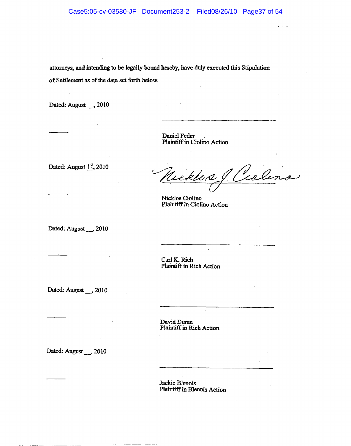attorneys. and intending to be legally bound hereby. have dulyexecuted this Stipulation of Settlement as of the date set forth below.

Dated: August \_\_ , 2010

Daniel Feder . Plaintiffin Ciolino Action

Dated: August  $11,2010$ 

Nicklos & Ciolina

Nicklos Ciolino Plaintiff in Ciolino Action

Dated: August \_\_ 2010

Carl K. Rich Plaintiff in Rich Action

Dated: August \_\_ , 2010

David Duran Plaintiff in Rich Action

Dated: August \_\_ 2010

Jackie Blennis Plaintiff in Blennis Action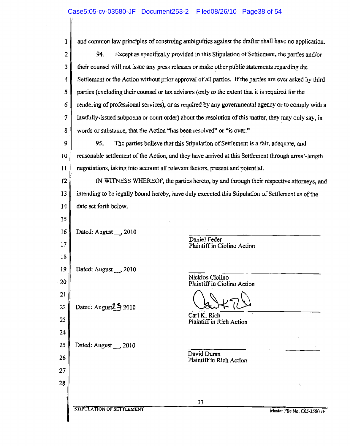$\sim$ 

 $\mathcal{L}_{\mathcal{A}}$ 

 $\sim 10^7$ 

| ı  | and common law principles of construing ambiguities against the drafter shall have no application.     |                             |
|----|--------------------------------------------------------------------------------------------------------|-----------------------------|
| 2  | 94.<br>Except as specifically provided in this Stipulation of Settlement, the parties and/or           |                             |
| 3  | their counsel will not issue any press releases or make other public statements regarding the          |                             |
| 4  | Settlement or the Action without prior approval of all parties. If the parties are ever asked by third |                             |
| 5  | parties (excluding their counsel or tax advisors (only to the extent that it is required for the       |                             |
| 6  | rendering of professional services), or as required by any governmental agency or to comply with a     |                             |
| 7  | lawfully-issued subpoena or court order) about the resolution of this matter, they may only say, in    |                             |
| 8  | words or substance, that the Action "has been resolved" or "is over."                                  |                             |
| 9  | 95.<br>The parties believe that this Stipulation of Settlement is a fair, adequate, and                |                             |
| 10 | reasonable settlement of the Action, and they have arrived at this Settlement through arms'-length     |                             |
| 11 | negotiations, taking into account all relevant factors, present and potential.                         |                             |
| 12 | IN WITNESS WHEREOF, the parties hereto, by and through their respective attorneys, and                 |                             |
| 13 | intending to be legally bound hereby, have duly executed this Stipulation of Settlement as of the      |                             |
| 14 | date set forth below.                                                                                  |                             |
| 15 |                                                                                                        |                             |
| 16 | Dated: August __ , 2010                                                                                |                             |
| 17 | Daniel Feder<br>Plaintiff in Ciolino Action                                                            |                             |
| 18 |                                                                                                        |                             |
| 19 | Dated: August __ , 2010                                                                                |                             |
| 20 | Nicklos Ciolino<br>Plaintiff in Ciolino Action                                                         |                             |
| 21 |                                                                                                        |                             |
| 22 | Dated: August $2\frac{5}{3}$ 2010<br>Carl K. Rich                                                      |                             |
| 23 | Plaintiff in Rich Action                                                                               |                             |
| 24 |                                                                                                        |                             |
| 25 | Dated: August __ , 2010<br>David Duran                                                                 |                             |
| 26 | Plaintiff in Rich Action                                                                               |                             |
| 27 |                                                                                                        |                             |
| 28 |                                                                                                        | V                           |
|    | 33                                                                                                     |                             |
|    | STIPULATION OF SETTLEMENT                                                                              | Master File No. C05-3580 JF |
|    |                                                                                                        |                             |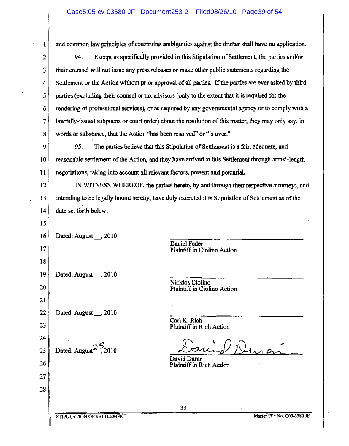and common law principles of construing ambiguities against the drafter shall have no application.

5 2 I 3 4  $\overline{\phantom{a}}$ 6 7 I 8  $\overline{\phantom{a}}$ 94. Except as specifically provided in this Stipulation of Settlement, the parties and/or their counsel will not issue any press releases or make other public statements regarding the Settlement or the Action without prior approval of all parties. If the parties are ever asked by third parties (excluding their counsel or tax advisors (only to the extent that it is required for the rendering of professional services), or as required by any governmental agency or to comply with a lawfully-issued subpoena or court order) about the resolution of this matter, they may only say, in words or substance, that the Action "has been resolved" or "is over."

10 9 1 11 95. The parties believe that this Stipulation of Settlement is a fair, adequate, and reasonable settlementof the Action, and they have arrived at this Settlement through arms'-length negotiations, taking into account all relevant factors, present and potential,

12 Ì ]3 I 14 Į IN WITNESS WHEREOF, the parties hereto, by and through their respective attorneys, and intending to be legally bound hereby, have duly executed this Stipulation of Settlement as of the date set forth below.

20 16 l<br>I 17 l 18 19  $\overline{\phantom{a}}$ 21  $\Big\}$ 22 ľ 23  $\overline{\phantom{a}}$ Dated: August , 2010 Dated: August , 2010 Dated: August<sub>1</sub>, 2010

15

1

25

26 I

27 I

28 ļ

24 I Daniel Feder Plaintiff in Ciolino Action

Nicklas Ciolino Plaintiff in Ciolino Action

Carl K.Rich Plaintiff in Rich Action

David Duran Plaintiff in Rich Action

STIPULATION OF SETTLEMENT Master File No. C05-3580 JF

Dated: August $\frac{2}{3}$ , 2010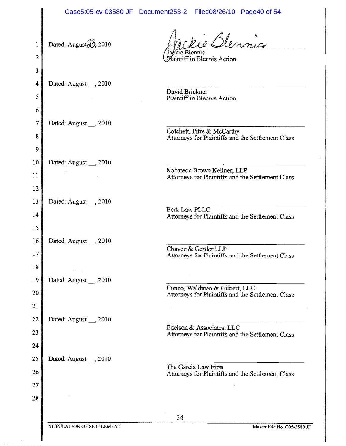|                      |                                         | Case5:05-cv-03580-JF Document253-2 Filed08/26/10 Page40 of 54                      |
|----------------------|-----------------------------------------|------------------------------------------------------------------------------------|
| 1<br>2               | Dated: August $\frac{\sqrt{3}}{2}$ 2010 | re Blennis<br>Jackie Blennis<br><b>Plaintiff in Blennis Action</b>                 |
| 3<br>4<br>5<br>6     | Dated: August , 2010                    | David Brickner<br>Plaintiff in Blennis Action                                      |
| 7<br>8<br>9          | Dated: August __ , 2010                 | Cotchett, Pitre & McCarthy<br>Attorneys for Plaintiffs and the Settlement Class    |
| 10<br>11<br>12       | Dated: August __, 2010                  | Kabateck Brown Kellner, LLP<br>Attorneys for Plaintiffs and the Settlement Class   |
| 13<br>14<br>15       | Dated: August __, 2010                  | <b>Berk Law PLLC</b><br>Attorneys for Plaintiffs and the Settlement Class          |
| 16<br>17<br>18       | Dated: August __, 2010                  | Chavez & Gertler LLP<br>Attorneys for Plaintiffs and the Settlement Class          |
| 19<br>20<br>21       | Dated: August __, 2010                  | Cuneo, Waldman & Gilbert, LLC<br>Attorneys for Plaintiffs and the Settlement Class |
| 22<br>23<br>24       | Dated: August __, 2010                  | Edelson & Associates, LLC<br>Attorneys for Plaintiffs and the Settlement Class     |
| 25<br>26<br>27<br>28 | Dated: August , 2010                    | The Garcia Law Firm<br>Attorneys for Plaintiffs and the Settlement Class           |
|                      |                                         | 34                                                                                 |
|                      | STIPULATION OF SETTLEMENT               | Master File No. C05-3580 JF                                                        |

J.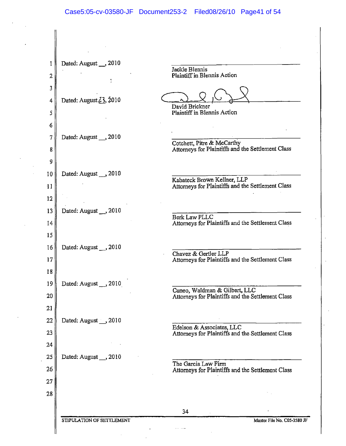1 Dated: August<sub>3</sub>, 2010 Jackie Blennis Plaintiff in Blennis Action 2 t 3 4 | Dated: August  $\angle 3$ , 2010 David Brickner 5 Plaintiff in Blennis Action 6 7 | Dated: August \_\_, 2010 Cotchett, Pitre & McCarthy Attorneys for Plaintiffs and the Settlement Class 8 9 10 Dated: August<sub>3</sub> 2010 Kabateck Brown Kellner, LLP Attomeys for Plaintiffs and the Settlement Class 11 12 13 Dated: August , 2010 Berk Law PLLC Attorneys for Plaintiffs and the Settlement Class 14 15 16 || Dated: August , 2010 Chavez & Gertler LLP 17 Attorneys for Plaintiffs and the Settlement Class 18 19 Dated: August , 2010 Cuneo, Waldman & Gilbert, LLC 20 Attorneys for Plaintiffs and the Settlement Class 21 22 Dated: August  $\ldots$ , 2010 Edelson & Associates, LLC 23 Attorneys for Plaintiffs and the Settlement Class 24 25 Dated: August \_,2010 The Garcia Law Finn 26 Attorneys for Plaintiffs and the Settlement Class 27 28 34 STIPULATION OF SETTLEMENT MASTER OF STIPULATION OF SETTLEMENT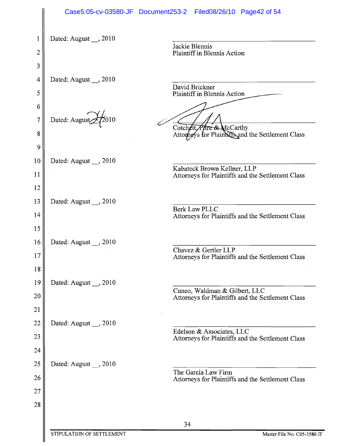|        |                         | Case5:05-cv-03580-JF Document253-2 Filed08/26/10 Page42 of 54                    |
|--------|-------------------------|----------------------------------------------------------------------------------|
| 1      | Dated: August , 2010    |                                                                                  |
| 2      |                         | Jackie Blennis<br>Plaintiff in Blennis Action                                    |
| 3      |                         |                                                                                  |
| 4      | Dated: August __, 2010  |                                                                                  |
| 5      |                         | David Brickner<br>Plaintiff in Blennis Action                                    |
| 6      |                         |                                                                                  |
| 7      | Dated: August           |                                                                                  |
| 8      |                         | Cotchett, Pitre & McCarthy<br>Attorneys for Plaintiffs and the Settlement Class  |
| 9      |                         |                                                                                  |
| 10     | Dated: August __, 2010  |                                                                                  |
| 11     |                         | Kabateck Brown Kellner, LLP<br>Attorneys for Plaintiffs and the Settlement Class |
| 12     |                         |                                                                                  |
| 13     | Dated: August __ , 2010 |                                                                                  |
| 14     |                         | Berk Law PLLC<br>Attorneys for Plaintiffs and the Settlement Class               |
| 15     |                         |                                                                                  |
| 16     | Dated: August __, 2010  | Chavez & Gertler LLP                                                             |
| $17\,$ |                         | Attorneys for Plaintiffs and the Settlement Class                                |
| 18     |                         |                                                                                  |
| 19     | Dated: August , 2010    | Cuneo, Waldman & Gilbert, LLC                                                    |
| 20     |                         | Attorneys for Plaintiffs and the Settlement Class                                |
| 21     |                         |                                                                                  |
| 22     | Dated: August __, 2010  | Edelson & Associates, LLC                                                        |
| 23     |                         | Attorneys for Plaintiffs and the Settlement Class                                |
| 24     |                         |                                                                                  |
| 25     | Dated: August __, 2010  | The Garcia Law Firm                                                              |
| 26     |                         | Attorneys for Plaintiffs and the Settlement Class                                |
| 27     |                         |                                                                                  |
| 28     |                         |                                                                                  |
|        |                         | 34                                                                               |

 $\parallel$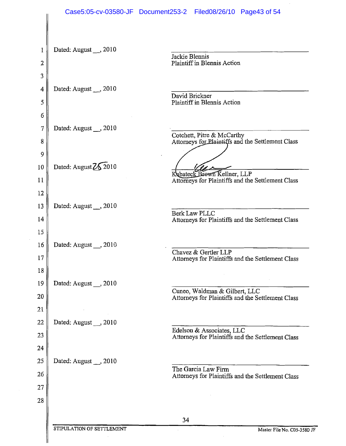|         |                           | Case5:05-cv-03580-JF Document253-2 Filed08/26/10 Page43 of 54                      |
|---------|---------------------------|------------------------------------------------------------------------------------|
|         |                           |                                                                                    |
|         | Dated: August _, 2010     |                                                                                    |
| 2       |                           | Jackie Blennis<br>Plaintiff in Blennis Action                                      |
| 3       |                           |                                                                                    |
| 4       | Dated: August __, 2010    |                                                                                    |
| 5       |                           | David Brickner<br>Plaintiff in Blennis Action                                      |
| 6       |                           |                                                                                    |
| 7       | Dated: August , 2010      |                                                                                    |
| 8       |                           | Cotchett, Pitre & McCarthy<br>Attorneys for Plaintiffs and the Settlement Class    |
| 9<br>10 | Dated: August 2\\$2010    |                                                                                    |
| 11      |                           | Kabateck Brown Kellner, LLP<br>Attorneys for Plaintiffs and the Settlement Class   |
| 12      |                           |                                                                                    |
| 13      | Dated: August 3010        |                                                                                    |
| 14      |                           | <b>Berk Law PLLC</b><br>Attorneys for Plaintiffs and the Settlement Class          |
| 15      |                           |                                                                                    |
| 16      | Dated: August , 2010      |                                                                                    |
| $17\,$  |                           | Chavez & Gertler LLP<br>Attorneys for Plaintiffs and the Settlement Class          |
| 18      |                           |                                                                                    |
| 19      | Dated: August , 2010      |                                                                                    |
| 20      |                           | Cuneo, Waldman & Gilbert, LLC<br>Attorneys for Plaintiffs and the Settlement Class |
| 21      |                           |                                                                                    |
| 22      | Dated: August __, 2010    |                                                                                    |
| 23      |                           | Edelson & Associates, LLC<br>Attorneys for Plaintiffs and the Settlement Class     |
| 24      |                           |                                                                                    |
| 25      | Dated: August __, 2010    | The Garcia Law Firm                                                                |
| 26      |                           | Attorneys for Plaintiffs and the Settlement Class                                  |
| 27      |                           |                                                                                    |
| 28      |                           |                                                                                    |
|         |                           | 34                                                                                 |
|         | STIPULATION OF SETTLEMENT | Master File No. C05-3580 JF                                                        |
|         |                           |                                                                                    |

 $\sim$   $\sim$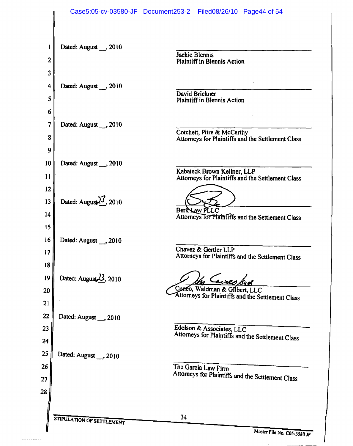|                             |                                    | Case5:05-cv-03580-JF Document253-2 Filed08/26/10 Page44 of 54                                          |
|-----------------------------|------------------------------------|--------------------------------------------------------------------------------------------------------|
| 1<br>$\overline{2}$         | Dated: August __, 2010             | <b>Jackie Blennis</b><br><b>Plaintiff in Blennis Action</b>                                            |
| 3<br>4<br>5                 | Dated: August __ , 2010            | David Brickner<br><b>Plaintiff in Blennis Action</b>                                                   |
| 6<br>7<br>8                 | Dated: August , 2010               | Cotchett, Pitre & McCarthy<br>Attorneys for Plaintiffs and the Settlement Class                        |
| 9<br>10<br>11               | Dated: August __, 2010             | Kabateck Brown Kellner, LLP<br>Attorneys for Plaintiffs and the Settlement Class                       |
| 12<br>13<br>14              | Dated: August $\frac{3}{3}$ , 2010 | Berk Law PLLC<br>Attorneys for Plaintiffs and the Settlement Class                                     |
| 15<br>16<br>$\overline{17}$ | Dated: August __, 2010             | Chavez & Gertler LLP<br>Attorneys for Plaintiffs and the Settlement Class                              |
| 18<br>19<br>20<br>21        | Dated: August $23$ , 2010          | <u>eures brø</u><br>Cunco, Waldman & Gilbert, LLC<br>Attorneys for Plaintiffs and the Settlement Class |
| 22<br>23<br>24              | Dated: August __, 2010             | Edelson & Associates, LLC<br>Attorneys for Plaintiffs and the Settlement Class                         |
| 25<br>26<br>27              | Dated: August __, 2010             | The Garcia Law Firm<br>Attorneys for Plaintiffs and the Settlement Class                               |
| 28                          | STIPULATION OF SETTLEMENT          | 34                                                                                                     |

 $\beta$  , and a second comparison of  $\alpha$ 

Master File No. C05-3580 JF

-----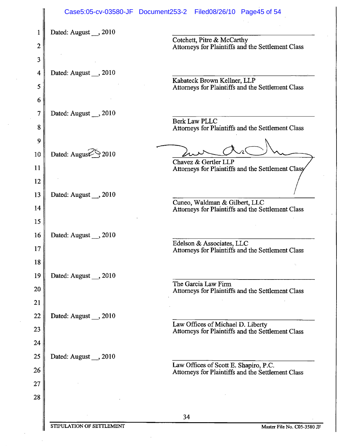|    |                                  | Case5:05-cv-03580-JF Document253-2 Filed08/26/10 Page45 of 54                    |
|----|----------------------------------|----------------------------------------------------------------------------------|
|    | Dated: August __ , 2010          |                                                                                  |
| 2  |                                  | Cotchett, Pitre & McCarthy<br>Attorneys for Plaintiffs and the Settlement Class  |
| 3  |                                  |                                                                                  |
| 4  | Dated: August , 2010             |                                                                                  |
| 5  |                                  | Kabateck Brown Kellner, LLP<br>Attorneys for Plaintiffs and the Settlement Class |
| 6  |                                  |                                                                                  |
| 7  | Dated: August , 2010             | <b>Berk Law PLLC</b>                                                             |
| 8  |                                  | Attorneys for Plaintiffs and the Settlement Class                                |
| 9  |                                  |                                                                                  |
| 10 | Dated: August <sup>5</sup> >2010 | Chavez & Gertler LLP                                                             |
| 11 |                                  | Attorneys for Plaintiffs and the Settlement Classy                               |
| 12 |                                  |                                                                                  |
| 13 | Dated: August , 2010             | Cuneo, Waldman & Gilbert, LLC                                                    |
| 14 |                                  | Attorneys for Plaintiffs and the Settlement Class                                |
| 15 |                                  |                                                                                  |
| 16 | Dated: August , 2010             | Edelson & Associates, LLC                                                        |
| 17 |                                  | Attorneys for Plaintiffs and the Settlement Class                                |
| 18 |                                  |                                                                                  |
| 19 | Dated: August , 2010             | The Garcia Law Firm                                                              |
| 20 |                                  | Attorneys for Plaintiffs and the Settlement Class                                |
| 21 |                                  |                                                                                  |
| 22 | Dated: August , 2010             | Law Offices of Michael D. Liberty                                                |
| 23 |                                  | Attorneys for Plaintiffs and the Settlement Class                                |
| 24 |                                  |                                                                                  |
| 25 | Dated: August , 2010             | Law Offices of Scott E. Shapiro, P.C.                                            |
| 26 |                                  | Attorneys for Plaintiffs and the Settlement Class                                |
| 27 |                                  |                                                                                  |
| 28 |                                  |                                                                                  |
|    |                                  | 34                                                                               |

 $\sim$ 

 $\sim$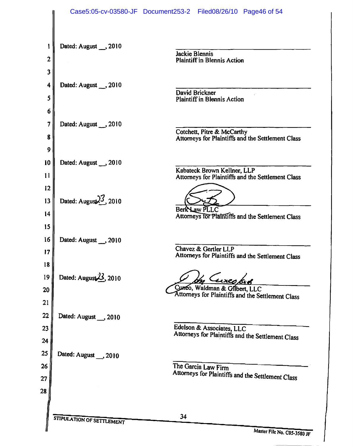|                  |                                    | Case5:05-cv-03580-JF Document253-2 Filed08/26/10 Page46 of 54                      |
|------------------|------------------------------------|------------------------------------------------------------------------------------|
| 1<br>$\mathbf 2$ | Dated: August __, 2010             | Jackie Blennis                                                                     |
|                  |                                    | <b>Plaintiff in Blennis Action</b>                                                 |
| 3                |                                    |                                                                                    |
| 4                | Dated: August , 2010               | David Brickner                                                                     |
| 5                |                                    | <b>Plaintiff in Blennis Action</b>                                                 |
| 6                |                                    |                                                                                    |
| 7                | Dated: August __ ,2010             |                                                                                    |
| 8<br>9           |                                    | Cotchett, Pitre & McCarthy<br>Attorneys for Plaintiffs and the Settlement Class    |
| 10               | Dated: August __, 2010             |                                                                                    |
| 11               |                                    | Kabateck Brown Kellner, LLP                                                        |
| 12               |                                    | Attorneys for Plaintiffs and the Settlement Class                                  |
| 13               | Dated: August $\frac{3}{5}$ , 2010 |                                                                                    |
|                  |                                    | Berk Law PLLC                                                                      |
| 14               |                                    | Attorneys for Plaintiffs and the Settlement Class                                  |
| 15               |                                    |                                                                                    |
| 16               | Dated: August __, 2010             | Chavez & Gertler LLP                                                               |
| 17               |                                    | Attorneys for Plaintiffs and the Settlement Class                                  |
| 18               |                                    |                                                                                    |
| 19               | Dated: August $23$ , 2010          | <u>Eureo bro</u>                                                                   |
| 20               |                                    | Cuneo, Waldman & Gilbert, LLC<br>Attorneys for Plaintiffs and the Settlement Class |
| 21               |                                    |                                                                                    |
| 22               | Dated: August __, 2010             |                                                                                    |
| 23               |                                    | Edelson & Associates, LLC                                                          |
| 24               |                                    | Attorneys for Plaintiffs and the Settlement Class                                  |
| 25               | Dated: August __, 2010             |                                                                                    |
| 26               |                                    | The Garcia Law Firm                                                                |
| 27               |                                    | Attorneys for Plaintiffs and the Settlement Class                                  |
| 28               |                                    |                                                                                    |
|                  |                                    |                                                                                    |
|                  |                                    | 34                                                                                 |
|                  | STIPULATION OF SETTLEMENT          | Master File Me Cose                                                                |

Master File No. C05-3580 JF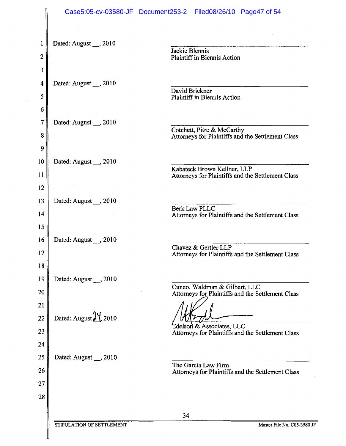|                  |                                   | Case5:05-cv-03580-JF Document253-2 Filed08/26/10 Page47 of 54                      |
|------------------|-----------------------------------|------------------------------------------------------------------------------------|
| 1<br>2           | Dated: August , 2010              | Jackie Blennis<br>Plaintiff in Blennis Action                                      |
| 3<br>4<br>5      | Dated: August __, 2010            | David Brickner<br>Plaintiff in Blennis Action                                      |
| 6<br>7<br>8<br>9 | Dated: August __, 2010            | Cotchett, Pitre & McCarthy<br>Attorneys for Plaintiffs and the Settlement Class    |
| 10<br>11<br>12   | Dated: August , 2010              | Kabateck Brown Kellner, LLP<br>Attorneys for Plaintiffs and the Settlement Class   |
| 13<br>14<br>15   | Dated: August __, 2010            | Berk Law PLLC<br>Attorneys for Plaintiffs and the Settlement Class                 |
| 16<br>17<br>18   | Dated: August , 2010              | Chavez & Gertler LLP<br>Attorneys for Plaintiffs and the Settlement Class          |
| 19<br>20<br>21   | Dated: August , 2010              | Cuneo, Waldman & Gilbert, LLC<br>Attorneys for Plaintiffs and the Settlement Class |
| 22<br>23<br>24   | Dated: August $2\frac{9}{1}$ 2010 | Edelson & Associates, LLC<br>Attorneys for Plaintiffs and the Settlement Class     |
| 25<br>26<br>27   | Dated: August , 2010              | The Garcia Law Firm<br>Attorneys for Plaintiffs and the Settlement Class           |
| 28               |                                   | 34                                                                                 |
|                  | STIPULATION OF SETTLEMENT         | Master File No. C05-3580 JF                                                        |

 $\mathcal{A}_{\mathcal{A}}$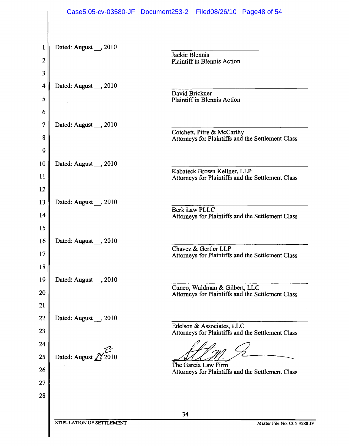|                   |                                               | Case5:05-cv-03580-JF Document253-2 Filed08/26/10 Page48 of 54                      |
|-------------------|-----------------------------------------------|------------------------------------------------------------------------------------|
| 1<br>$\mathbf{2}$ | Dated: August , 2010                          | Jackie Blennis<br><b>Plaintiff in Blennis Action</b>                               |
| 3                 |                                               |                                                                                    |
| 4                 |                                               |                                                                                    |
|                   | Dated: August __, 2010                        | David Brickner                                                                     |
| 5                 |                                               | <b>Plaintiff in Blennis Action</b>                                                 |
| 6                 |                                               |                                                                                    |
| $\tau$            | Dated: August __, 2010                        | Cotchett, Pitre & McCarthy                                                         |
| 8                 |                                               | Attorneys for Plaintiffs and the Settlement Class                                  |
| 9                 |                                               |                                                                                    |
| 10                | Dated: August , 2010                          | Kabateck Brown Kellner, LLP                                                        |
| 11                |                                               | Attorneys for Plaintiffs and the Settlement Class                                  |
| 12                |                                               |                                                                                    |
| 13                | Dated: August __, 2010                        | <b>Berk Law PLLC</b>                                                               |
| 14                |                                               | Attorneys for Plaintiffs and the Settlement Class                                  |
| 15                |                                               |                                                                                    |
| 16                | Dated: August __, 2010                        | Chavez & Gertler LLP                                                               |
| 17                |                                               | Attorneys for Plaintiffs and the Settlement Class                                  |
| 18                |                                               |                                                                                    |
| 19                | Dated: August , 2010                          |                                                                                    |
| 20                |                                               | Cuneo, Waldman & Gilbert, LLC<br>Attorneys for Plaintiffs and the Settlement Class |
| 21                |                                               |                                                                                    |
| 22                | Dated: August $\overline{\phantom{0}}$ , 2010 |                                                                                    |
| 23                |                                               | Edelson & Associates, LLC<br>Attorneys for Plaintiffs and the Settlement Class     |
| 24                |                                               |                                                                                    |
| 25                | Dated: August $2\frac{9}{2010}$               |                                                                                    |
| 26                |                                               | The Garcia Law Firm<br>Attorneys for Plaintiffs and the Settlement Class           |
| 27                |                                               |                                                                                    |
| 28                |                                               |                                                                                    |
|                   |                                               | 34                                                                                 |
|                   | STIPULATION OF SETTLEMENT                     | Master File No. C05-3580 JF                                                        |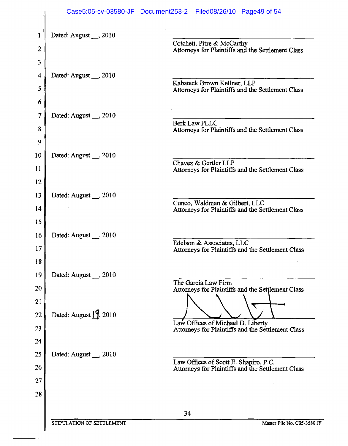|          |                                     | Case5:05-cv-03580-JF Document253-2 Filed08/26/10 Page49 of 54                              |
|----------|-------------------------------------|--------------------------------------------------------------------------------------------|
| 1        | Dated: August , 2010                |                                                                                            |
| 2        |                                     | Cotchett, Pitre & McCarthy<br>Attorneys for Plaintiffs and the Settlement Class            |
| 3        |                                     |                                                                                            |
| 4        | Dated: August __, 2010              |                                                                                            |
| 5        |                                     | Kabateck Brown Kellner, LLP<br>Attorneys for Plaintiffs and the Settlement Class           |
| 6        |                                     |                                                                                            |
| 7        | Dated: August __, 2010              | <b>Berk Law PLLC</b>                                                                       |
| 8        |                                     | Attorneys for Plaintiffs and the Settlement Class                                          |
| 9        |                                     |                                                                                            |
| 10       | Dated: August __, 2010              | Chavez & Gertler LLP                                                                       |
| 11<br>12 |                                     | Attorneys for Plaintiffs and the Settlement Class                                          |
| 13       | Dated: August , 2010                |                                                                                            |
| 14       |                                     | Cuneo, Waldman & Gilbert, LLC<br>Attorneys for Plaintiffs and the Settlement Class         |
| 15       |                                     |                                                                                            |
| 16       | Dated: August 3010                  |                                                                                            |
| 17       |                                     | Edelson & Associates, LLC<br>Attorneys for Plaintiffs and the Settlement Class             |
| 18       |                                     |                                                                                            |
| 19       | Dated: August __, 2010              | The Garcia Law Firm                                                                        |
| 20       |                                     | Attorneys for Plaintiffs and the Settlement Class                                          |
| 21       |                                     |                                                                                            |
| 22<br>23 | Dated: August $\binom{9}{1}$ , 2010 | Law Offices of Michael D. Liberty                                                          |
| 24       |                                     | Attorneys for Plaintiffs and the Settlement Class                                          |
| 25       | Dated: August __ , 2010             |                                                                                            |
| 26       |                                     | Law Offices of Scott E. Shapiro, P.C.<br>Attorneys for Plaintiffs and the Settlement Class |
| 27       |                                     |                                                                                            |
| 28       |                                     |                                                                                            |
|          |                                     | 34                                                                                         |
|          | STIPULATION OF SETTLEMENT           | Master File No. C05-3580 JF                                                                |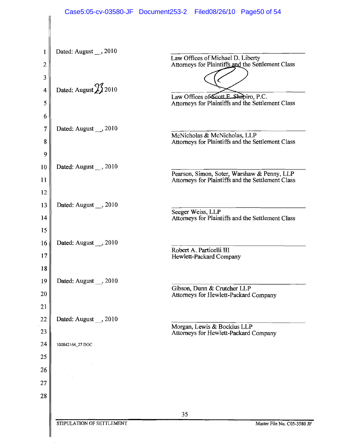|                  |                           | Case5:05-cv-03580-JF Document253-2 Filed08/26/10 Page50 of 54                                    |
|------------------|---------------------------|--------------------------------------------------------------------------------------------------|
|                  |                           |                                                                                                  |
| 1                | Dated: August __, 2010    | Law Offices of Michael D. Liberty                                                                |
| $\boldsymbol{2}$ |                           | Attorneys for Plaintiffs and the Settlement Class                                                |
| 3                | Dated: August 23 2010     |                                                                                                  |
| 4                |                           | Law Offices of Scott E. Shapiro, P.C.<br>Attorneys for Plaintiffs and the Settlement Class       |
| 5<br>6           |                           |                                                                                                  |
| $\overline{7}$   | Dated: August __, 2010    |                                                                                                  |
| 8                |                           | McNicholas & McNicholas, LLP<br>Attorneys for Plaintiffs and the Settlement Class                |
| 9                |                           |                                                                                                  |
| 10               | Dated: August , 2010      |                                                                                                  |
| 11               |                           | Pearson, Simon, Soter, Warshaw & Penny, LLP<br>Attorneys for Plaintiffs and the Settlement Class |
| 12               |                           |                                                                                                  |
| 13               | Dated: August __, 2010    |                                                                                                  |
| 14               |                           | Seeger Weiss, LLP<br>Attorneys for Plaintiffs and the Settlement Class                           |
| 15               |                           |                                                                                                  |
| 16               | Dated: August __, 2010    | Robert A. Particelli III                                                                         |
| 17 <sup>1</sup>  |                           | Hewlett-Packard Company                                                                          |
| 18               |                           |                                                                                                  |
| 19<br>20         | Dated: August , 2010      | Gibson, Dunn & Crutcher LLP                                                                      |
| 21               |                           | Attorneys for Hewlett-Packard Company                                                            |
| 22               | Dated: August , 2010      |                                                                                                  |
| 23               |                           | Morgan, Lewis & Bockius LLP<br>Attorneys for Hewlett-Packard Company                             |
| 24               | 100842164_27.DOC          |                                                                                                  |
| 25               |                           |                                                                                                  |
| 26               |                           |                                                                                                  |
| 27               |                           |                                                                                                  |
| 28               |                           |                                                                                                  |
|                  |                           | 35                                                                                               |
|                  | STIPULATION OF SETTLEMENT | Master File No. C05-3580 JF                                                                      |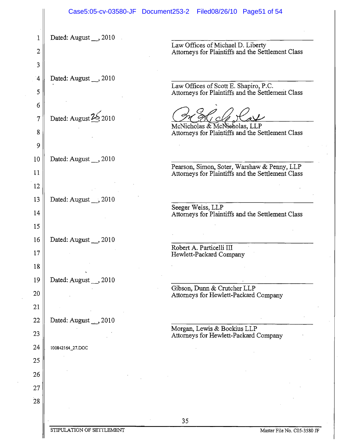|            | Case5:05-cv-03580-JF Document253-2 | Filed08/26/10 Page51 of 54                                                                       |
|------------|------------------------------------|--------------------------------------------------------------------------------------------------|
| 1          | Dated: August __, 2010             |                                                                                                  |
| 2          |                                    | Law Offices of Michael D. Liberty<br>Attorneys for Plaintiffs and the Settlement Class           |
| 3          |                                    |                                                                                                  |
| $\ddot{4}$ | Dated: August __, 2010             | Law Offices of Scott E. Shapiro, P.C.                                                            |
| 5          |                                    | Attorneys for Plaintiffs and the Settlement Class                                                |
| 6          | Dated: August 25 2010              |                                                                                                  |
| 7<br>8     |                                    | McNicholas & McNicholas, LLP<br>Attorneys for Plaintiffs and the Settlement Class                |
| 9          |                                    |                                                                                                  |
| 10         | Dated: August $\ldots$ , 2010      |                                                                                                  |
| 11         |                                    | Pearson, Simon, Soter, Warshaw & Penny, LLP<br>Attorneys for Plaintiffs and the Settlement Class |
| 12         |                                    |                                                                                                  |
| 13         | Dated: August __, 2010             |                                                                                                  |
| 14         |                                    | Seeger Weiss, LLP<br>Attorneys for Plaintiffs and the Settlement Class                           |
| 15         |                                    |                                                                                                  |
| 16         | Dated: August __, 2010             | Robert A. Particelli III<br>$\epsilon$                                                           |
| 17         |                                    | Hewlett-Packard Company                                                                          |
| 18         |                                    |                                                                                                  |
| 19<br>20   | Dated: August __, 2010             | Gibson, Dunn & Crutcher LLP                                                                      |
| 21         |                                    | Attorneys for Hewlett-Packard Company                                                            |
| 22         | Dated: August __ , 2010            |                                                                                                  |
| 23         |                                    | Morgan, Lewis & Bockius LLP<br>Attorneys for Hewlett-Packard Company                             |
| 24         | 100842164_27.DOC                   |                                                                                                  |
| 25         |                                    |                                                                                                  |
| 26         |                                    |                                                                                                  |
| 27         |                                    |                                                                                                  |
| 28         |                                    |                                                                                                  |
|            |                                    | 35                                                                                               |
|            | STIPULATION OF SETTLEMENT          | Master File No. C05-3580 J                                                                       |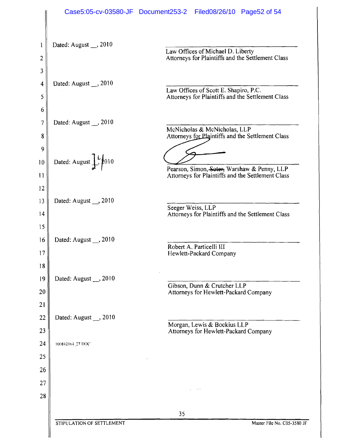|                         |                                                      | Case5:05-cv-03580-JF Document253-2 Filed08/26/10 Page52 of 54                                    |
|-------------------------|------------------------------------------------------|--------------------------------------------------------------------------------------------------|
| 1<br>2                  | Dated: August $\_\_$ , 2010                          | Law Offices of Michael D. Liberty<br>Attorneys for Plaintiffs and the Settlement Class           |
| 3<br>4<br>5             | Dated: August $\Box$ , 2010                          | Law Offices of Scott E. Shapiro, P.C.<br>Attorneys for Plaintiffs and the Settlement Class       |
| 6<br>7<br>8             | Dated: August , 2010                                 | McNicholas & McNicholas, LLP<br>Attorneys for Plaintiffs and the Settlement Class                |
| 9<br>10<br>$\mathbf{1}$ | Dated: August $\int$ $\frac{1}{2}$ $\frac{1}{2}$ 010 | Pearson, Simon, Soter, Warshaw & Penny, LLP<br>Attorneys for Plaintiffs and the Settlement Class |
| 12<br>13<br>14<br>15    | Dated: August __, 2010                               | Seeger Weiss, LLP<br>Attorneys for Plaintiffs and the Settlement Class                           |
| 16<br>17<br>18          | Dated: August __, 2010                               | Robert A. Particelli III<br>Hewlett-Packard Company                                              |
| 19<br>20<br>21          | Dated: August __, 2010                               | Gibson, Dunn & Crutcher LLP<br>Attorneys for Hewlett-Packard Company                             |
| 22<br>23                | Dated: August _, 2010                                | Morgan, Lewis & Bockius LLP<br>Attorneys for Hewlett-Packard Company                             |
| 24                      | 100842164.27 DOC                                     |                                                                                                  |
| 25<br>26                |                                                      |                                                                                                  |
| 27                      |                                                      |                                                                                                  |
| 28                      |                                                      |                                                                                                  |
|                         | STIPULATION OF SETTLEMENT                            | 35<br>Master File No. C05-3580 JF                                                                |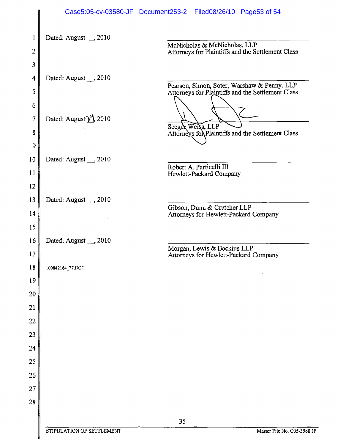|          |                                                     | Case5:05-cv-03580-JF Document253-2 Filed08/26/10 Page53 of 54                                    |
|----------|-----------------------------------------------------|--------------------------------------------------------------------------------------------------|
| 1        | Dated: August __, 2010                              |                                                                                                  |
| 2        |                                                     | McNicholas & McNicholas, LLP<br>Attorneys for Plaintiffs and the Settlement Class                |
| 3        |                                                     |                                                                                                  |
| 4        | Dated: August __, 2010                              |                                                                                                  |
| 5        |                                                     | Pearson, Simon, Soter, Warshaw & Penny, LLP<br>Attorneys for Plaintiffs and the Settlement Class |
| 6        |                                                     |                                                                                                  |
| 7        | Dated: August <sup><math>\gamma</math></sup> , 2010 |                                                                                                  |
| 8        |                                                     | Seeger Weirs, LLP<br>Attorneys for Plaintiffs and the Settlement Class                           |
| 9        |                                                     |                                                                                                  |
| 10       | Dated: August __, 2010                              | Robert A. Particelli III                                                                         |
| 11       |                                                     | Hewlett-Packard Company                                                                          |
| 12       |                                                     |                                                                                                  |
| 13       | Dated: August $\_, 2010$                            | Gibson, Dunn & Crutcher LLP                                                                      |
| 14       |                                                     | Attorneys for Hewlett-Packard Company                                                            |
| 15       |                                                     |                                                                                                  |
| 16<br>17 | Dated: August __, 2010                              | Morgan, Lewis & Bockius LLP                                                                      |
| 18       | 100842164_27.DOC                                    | Attorneys for Hewlett-Packard Company                                                            |
| 19       |                                                     |                                                                                                  |
| 20       |                                                     |                                                                                                  |
| 21       |                                                     |                                                                                                  |
| 22       |                                                     |                                                                                                  |
| 23       |                                                     |                                                                                                  |
| 24       |                                                     |                                                                                                  |
| 25       |                                                     |                                                                                                  |
| 26       |                                                     |                                                                                                  |
| 27       |                                                     |                                                                                                  |
| 28       |                                                     |                                                                                                  |
|          |                                                     | 35                                                                                               |
|          | STIPULATION OF SETTLEMENT                           | Master File No. C05-3580 JF                                                                      |